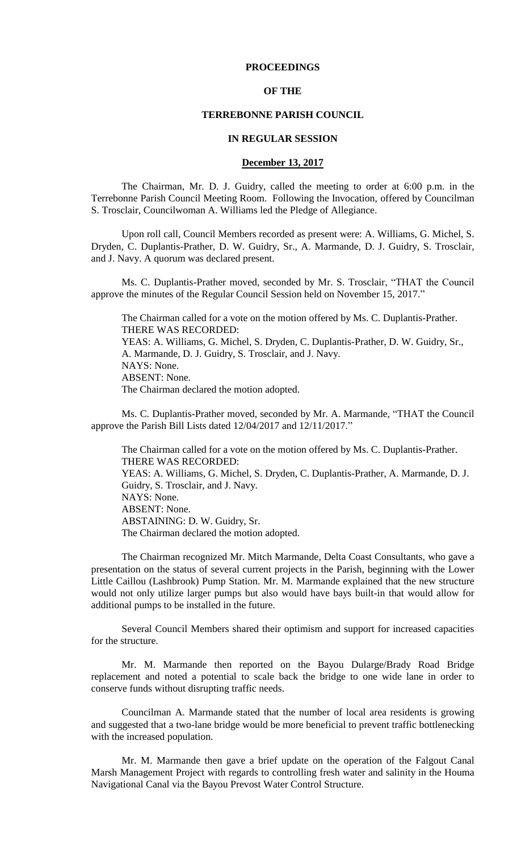### **PROCEEDINGS**

### **OF THE**

## **TERREBONNE PARISH COUNCIL**

### **IN REGULAR SESSION**

## **December 13, 2017**

The Chairman, Mr. D. J. Guidry, called the meeting to order at 6:00 p.m. in the Terrebonne Parish Council Meeting Room. Following the Invocation, offered by Councilman S. Trosclair, Councilwoman A. Williams led the Pledge of Allegiance.

Upon roll call, Council Members recorded as present were: A. Williams, G. Michel, S. Dryden, C. Duplantis-Prather, D. W. Guidry, Sr., A. Marmande, D. J. Guidry, S. Trosclair, and J. Navy. A quorum was declared present.

Ms. C. Duplantis-Prather moved, seconded by Mr. S. Trosclair, "THAT the Council approve the minutes of the Regular Council Session held on November 15, 2017."

The Chairman called for a vote on the motion offered by Ms. C. Duplantis-Prather. THERE WAS RECORDED: YEAS: A. Williams, G. Michel, S. Dryden, C. Duplantis-Prather, D. W. Guidry, Sr., A. Marmande, D. J. Guidry, S. Trosclair, and J. Navy. NAYS: None. ABSENT: None. The Chairman declared the motion adopted.

Ms. C. Duplantis-Prather moved, seconded by Mr. A. Marmande, "THAT the Council approve the Parish Bill Lists dated 12/04/2017 and 12/11/2017."

The Chairman called for a vote on the motion offered by Ms. C. Duplantis-Prather. THERE WAS RECORDED: YEAS: A. Williams, G. Michel, S. Dryden, C. Duplantis-Prather, A. Marmande, D. J. Guidry, S. Trosclair, and J. Navy. NAYS: None. ABSENT: None. ABSTAINING: D. W. Guidry, Sr. The Chairman declared the motion adopted.

The Chairman recognized Mr. Mitch Marmande, Delta Coast Consultants, who gave a presentation on the status of several current projects in the Parish, beginning with the Lower Little Caillou (Lashbrook) Pump Station. Mr. M. Marmande explained that the new structure would not only utilize larger pumps but also would have bays built-in that would allow for additional pumps to be installed in the future.

Several Council Members shared their optimism and support for increased capacities for the structure.

Mr. M. Marmande then reported on the Bayou Dularge/Brady Road Bridge replacement and noted a potential to scale back the bridge to one wide lane in order to conserve funds without disrupting traffic needs.

Councilman A. Marmande stated that the number of local area residents is growing and suggested that a two-lane bridge would be more beneficial to prevent traffic bottlenecking with the increased population.

Mr. M. Marmande then gave a brief update on the operation of the Falgout Canal Marsh Management Project with regards to controlling fresh water and salinity in the Houma Navigational Canal via the Bayou Prevost Water Control Structure.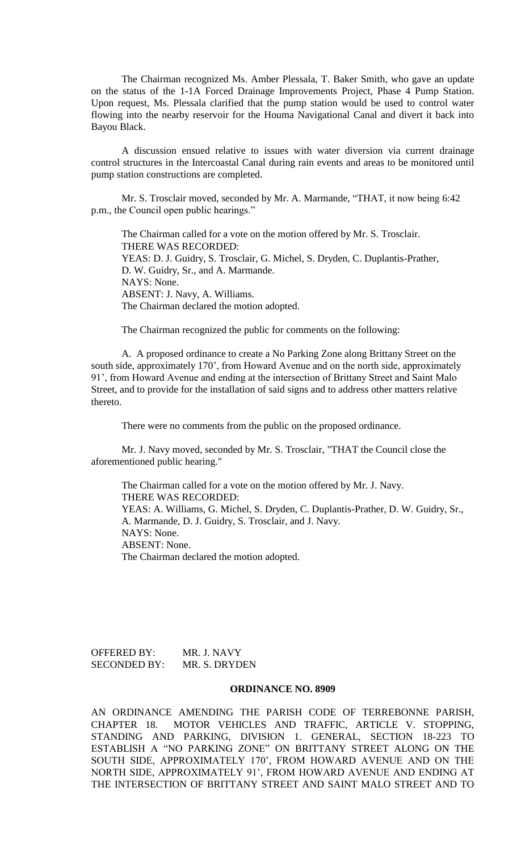The Chairman recognized Ms. Amber Plessala, T. Baker Smith, who gave an update on the status of the 1-1A Forced Drainage Improvements Project, Phase 4 Pump Station. Upon request, Ms. Plessala clarified that the pump station would be used to control water flowing into the nearby reservoir for the Houma Navigational Canal and divert it back into Bayou Black.

A discussion ensued relative to issues with water diversion via current drainage control structures in the Intercoastal Canal during rain events and areas to be monitored until pump station constructions are completed.

Mr. S. Trosclair moved, seconded by Mr. A. Marmande, "THAT, it now being 6:42 p.m., the Council open public hearings."

The Chairman called for a vote on the motion offered by Mr. S. Trosclair. THERE WAS RECORDED: YEAS: D. J. Guidry, S. Trosclair, G. Michel, S. Dryden, C. Duplantis-Prather, D. W. Guidry, Sr., and A. Marmande. NAYS: None. ABSENT: J. Navy, A. Williams. The Chairman declared the motion adopted.

The Chairman recognized the public for comments on the following:

A. A proposed ordinance to create a No Parking Zone along Brittany Street on the south side, approximately 170', from Howard Avenue and on the north side, approximately 91', from Howard Avenue and ending at the intersection of Brittany Street and Saint Malo Street, and to provide for the installation of said signs and to address other matters relative thereto.

There were no comments from the public on the proposed ordinance.

Mr. J. Navy moved, seconded by Mr. S. Trosclair, "THAT the Council close the aforementioned public hearing."

The Chairman called for a vote on the motion offered by Mr. J. Navy. THERE WAS RECORDED: YEAS: A. Williams, G. Michel, S. Dryden, C. Duplantis-Prather, D. W. Guidry, Sr., A. Marmande, D. J. Guidry, S. Trosclair, and J. Navy. NAYS: None. ABSENT: None. The Chairman declared the motion adopted.

OFFERED BY: MR. J. NAVY SECONDED BY: MR. S. DRYDEN

### **ORDINANCE NO. 8909**

AN ORDINANCE AMENDING THE PARISH CODE OF TERREBONNE PARISH, CHAPTER 18. MOTOR VEHICLES AND TRAFFIC, ARTICLE V. STOPPING, STANDING AND PARKING, DIVISION 1. GENERAL, SECTION 18-223 TO ESTABLISH A "NO PARKING ZONE" ON BRITTANY STREET ALONG ON THE SOUTH SIDE, APPROXIMATELY 170', FROM HOWARD AVENUE AND ON THE NORTH SIDE, APPROXIMATELY 91', FROM HOWARD AVENUE AND ENDING AT THE INTERSECTION OF BRITTANY STREET AND SAINT MALO STREET AND TO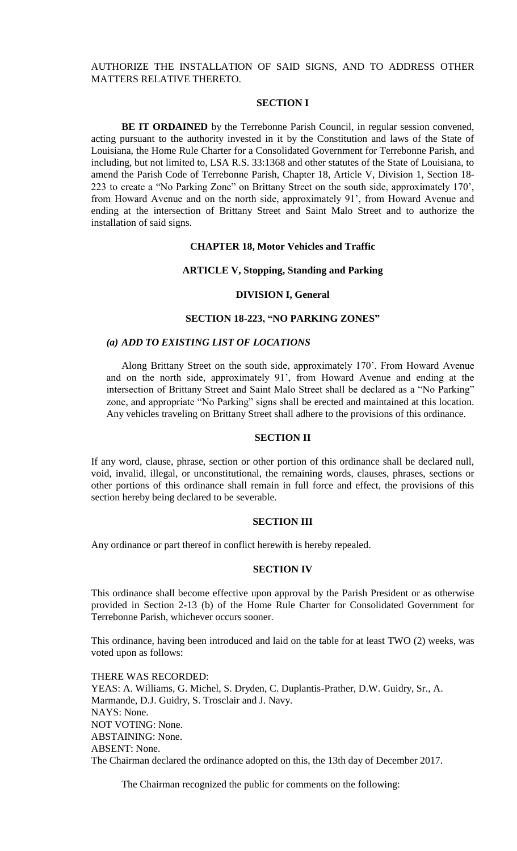# AUTHORIZE THE INSTALLATION OF SAID SIGNS, AND TO ADDRESS OTHER MATTERS RELATIVE THERETO.

### **SECTION I**

**BE IT ORDAINED** by the Terrebonne Parish Council, in regular session convened, acting pursuant to the authority invested in it by the Constitution and laws of the State of Louisiana, the Home Rule Charter for a Consolidated Government for Terrebonne Parish, and including, but not limited to, LSA R.S. 33:1368 and other statutes of the State of Louisiana, to amend the Parish Code of Terrebonne Parish, Chapter 18, Article V, Division 1, Section 18- 223 to create a "No Parking Zone" on Brittany Street on the south side, approximately 170', from Howard Avenue and on the north side, approximately 91', from Howard Avenue and ending at the intersection of Brittany Street and Saint Malo Street and to authorize the installation of said signs.

#### **CHAPTER 18, Motor Vehicles and Traffic**

#### **ARTICLE V, Stopping, Standing and Parking**

#### **DIVISION I, General**

### **SECTION 18-223, "NO PARKING ZONES"**

#### *(a) ADD TO EXISTING LIST OF LOCATIONS*

Along Brittany Street on the south side, approximately 170'. From Howard Avenue and on the north side, approximately 91', from Howard Avenue and ending at the intersection of Brittany Street and Saint Malo Street shall be declared as a "No Parking" zone, and appropriate "No Parking" signs shall be erected and maintained at this location. Any vehicles traveling on Brittany Street shall adhere to the provisions of this ordinance.

#### **SECTION II**

If any word, clause, phrase, section or other portion of this ordinance shall be declared null, void, invalid, illegal, or unconstitutional, the remaining words, clauses, phrases, sections or other portions of this ordinance shall remain in full force and effect, the provisions of this section hereby being declared to be severable.

#### **SECTION III**

Any ordinance or part thereof in conflict herewith is hereby repealed.

#### **SECTION IV**

This ordinance shall become effective upon approval by the Parish President or as otherwise provided in Section 2-13 (b) of the Home Rule Charter for Consolidated Government for Terrebonne Parish, whichever occurs sooner.

This ordinance, having been introduced and laid on the table for at least TWO (2) weeks, was voted upon as follows:

THERE WAS RECORDED: YEAS: A. Williams, G. Michel, S. Dryden, C. Duplantis-Prather, D.W. Guidry, Sr., A. Marmande, D.J. Guidry, S. Trosclair and J. Navy. NAYS: None. NOT VOTING: None. ABSTAINING: None. ABSENT: None. The Chairman declared the ordinance adopted on this, the 13th day of December 2017.

The Chairman recognized the public for comments on the following: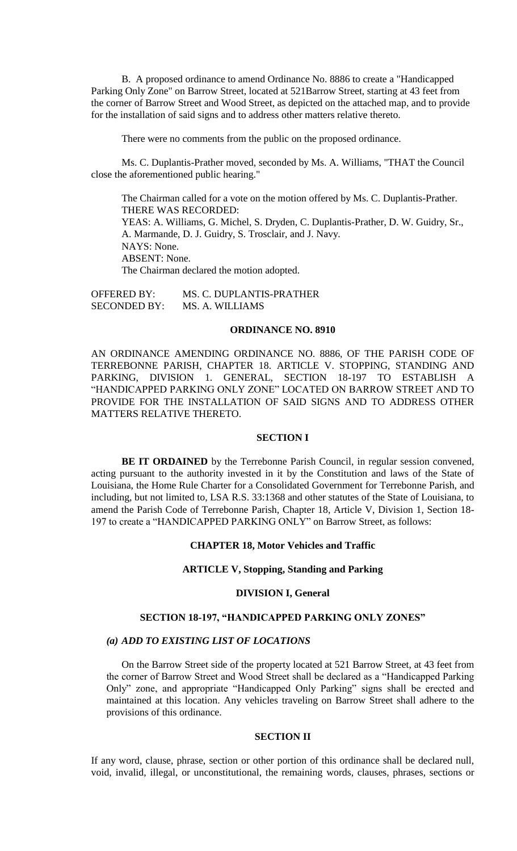B. A proposed ordinance to amend Ordinance No. 8886 to create a "Handicapped Parking Only Zone" on Barrow Street, located at 521Barrow Street, starting at 43 feet from the corner of Barrow Street and Wood Street, as depicted on the attached map, and to provide for the installation of said signs and to address other matters relative thereto.

There were no comments from the public on the proposed ordinance.

Ms. C. Duplantis-Prather moved, seconded by Ms. A. Williams, "THAT the Council close the aforementioned public hearing."

The Chairman called for a vote on the motion offered by Ms. C. Duplantis-Prather. THERE WAS RECORDED: YEAS: A. Williams, G. Michel, S. Dryden, C. Duplantis-Prather, D. W. Guidry, Sr., A. Marmande, D. J. Guidry, S. Trosclair, and J. Navy. NAYS: None. ABSENT: None. The Chairman declared the motion adopted.

OFFERED BY: MS. C. DUPLANTIS-PRATHER SECONDED BY: MS. A. WILLIAMS

#### **ORDINANCE NO. 8910**

AN ORDINANCE AMENDING ORDINANCE NO. 8886, OF THE PARISH CODE OF TERREBONNE PARISH, CHAPTER 18. ARTICLE V. STOPPING, STANDING AND PARKING, DIVISION 1. GENERAL, SECTION 18-197 TO ESTABLISH A "HANDICAPPED PARKING ONLY ZONE" LOCATED ON BARROW STREET AND TO PROVIDE FOR THE INSTALLATION OF SAID SIGNS AND TO ADDRESS OTHER MATTERS RELATIVE THERETO.

### **SECTION I**

**BE IT ORDAINED** by the Terrebonne Parish Council, in regular session convened, acting pursuant to the authority invested in it by the Constitution and laws of the State of Louisiana, the Home Rule Charter for a Consolidated Government for Terrebonne Parish, and including, but not limited to, LSA R.S. 33:1368 and other statutes of the State of Louisiana, to amend the Parish Code of Terrebonne Parish, Chapter 18, Article V, Division 1, Section 18- 197 to create a "HANDICAPPED PARKING ONLY" on Barrow Street, as follows:

### **CHAPTER 18, Motor Vehicles and Traffic**

#### **ARTICLE V, Stopping, Standing and Parking**

### **DIVISION I, General**

# **SECTION 18-197, "HANDICAPPED PARKING ONLY ZONES"**

### *(a) ADD TO EXISTING LIST OF LOCATIONS*

On the Barrow Street side of the property located at 521 Barrow Street, at 43 feet from the corner of Barrow Street and Wood Street shall be declared as a "Handicapped Parking Only" zone, and appropriate "Handicapped Only Parking" signs shall be erected and maintained at this location. Any vehicles traveling on Barrow Street shall adhere to the provisions of this ordinance.

#### **SECTION II**

If any word, clause, phrase, section or other portion of this ordinance shall be declared null, void, invalid, illegal, or unconstitutional, the remaining words, clauses, phrases, sections or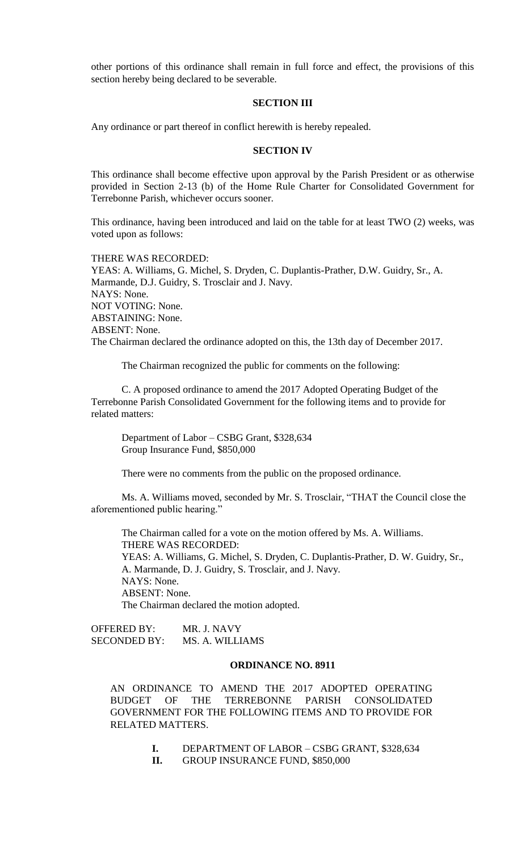other portions of this ordinance shall remain in full force and effect, the provisions of this section hereby being declared to be severable.

### **SECTION III**

Any ordinance or part thereof in conflict herewith is hereby repealed.

### **SECTION IV**

This ordinance shall become effective upon approval by the Parish President or as otherwise provided in Section 2-13 (b) of the Home Rule Charter for Consolidated Government for Terrebonne Parish, whichever occurs sooner.

This ordinance, having been introduced and laid on the table for at least TWO (2) weeks, was voted upon as follows:

THERE WAS RECORDED: YEAS: A. Williams, G. Michel, S. Dryden, C. Duplantis-Prather, D.W. Guidry, Sr., A. Marmande, D.J. Guidry, S. Trosclair and J. Navy. NAYS: None. NOT VOTING: None. ABSTAINING: None. ABSENT: None. The Chairman declared the ordinance adopted on this, the 13th day of December 2017.

The Chairman recognized the public for comments on the following:

C. A proposed ordinance to amend the 2017 Adopted Operating Budget of the Terrebonne Parish Consolidated Government for the following items and to provide for related matters:

Department of Labor – CSBG Grant, \$328,634 Group Insurance Fund, \$850,000

There were no comments from the public on the proposed ordinance.

Ms. A. Williams moved, seconded by Mr. S. Trosclair, "THAT the Council close the aforementioned public hearing."

The Chairman called for a vote on the motion offered by Ms. A. Williams. THERE WAS RECORDED: YEAS: A. Williams, G. Michel, S. Dryden, C. Duplantis-Prather, D. W. Guidry, Sr., A. Marmande, D. J. Guidry, S. Trosclair, and J. Navy. NAYS: None. ABSENT: None. The Chairman declared the motion adopted.

OFFERED BY: MR. J. NAVY SECONDED BY: MS. A. WILLIAMS

# **ORDINANCE NO. 8911**

AN ORDINANCE TO AMEND THE 2017 ADOPTED OPERATING BUDGET OF THE TERREBONNE PARISH CONSOLIDATED GOVERNMENT FOR THE FOLLOWING ITEMS AND TO PROVIDE FOR RELATED MATTERS.

- **I.** DEPARTMENT OF LABOR CSBG GRANT, \$328,634
- **II.** GROUP INSURANCE FUND, \$850,000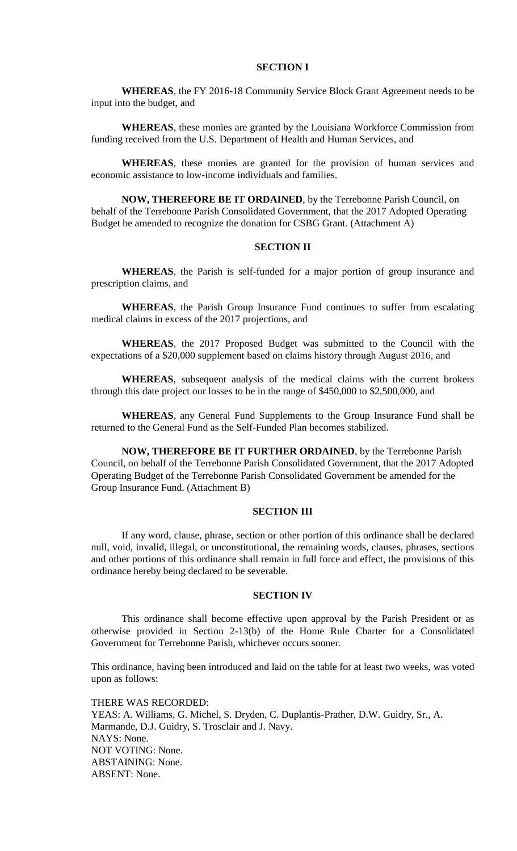# **SECTION I**

**WHEREAS**, the FY 2016-18 Community Service Block Grant Agreement needs to be input into the budget, and

**WHEREAS**, these monies are granted by the Louisiana Workforce Commission from funding received from the U.S. Department of Health and Human Services, and

**WHEREAS**, these monies are granted for the provision of human services and economic assistance to low-income individuals and families.

**NOW, THEREFORE BE IT ORDAINED**, by the Terrebonne Parish Council, on behalf of the Terrebonne Parish Consolidated Government, that the 2017 Adopted Operating Budget be amended to recognize the donation for CSBG Grant. (Attachment A)

### **SECTION II**

**WHEREAS**, the Parish is self-funded for a major portion of group insurance and prescription claims, and

**WHEREAS**, the Parish Group Insurance Fund continues to suffer from escalating medical claims in excess of the 2017 projections, and

**WHEREAS**, the 2017 Proposed Budget was submitted to the Council with the expectations of a \$20,000 supplement based on claims history through August 2016, and

**WHEREAS**, subsequent analysis of the medical claims with the current brokers through this date project our losses to be in the range of \$450,000 to \$2,500,000, and

**WHEREAS**, any General Fund Supplements to the Group Insurance Fund shall be returned to the General Fund as the Self-Funded Plan becomes stabilized.

**NOW, THEREFORE BE IT FURTHER ORDAINED**, by the Terrebonne Parish Council, on behalf of the Terrebonne Parish Consolidated Government, that the 2017 Adopted Operating Budget of the Terrebonne Parish Consolidated Government be amended for the Group Insurance Fund. (Attachment B)

### **SECTION III**

If any word, clause, phrase, section or other portion of this ordinance shall be declared null, void, invalid, illegal, or unconstitutional, the remaining words, clauses, phrases, sections and other portions of this ordinance shall remain in full force and effect, the provisions of this ordinance hereby being declared to be severable.

### **SECTION IV**

This ordinance shall become effective upon approval by the Parish President or as otherwise provided in Section 2-13(b) of the Home Rule Charter for a Consolidated Government for Terrebonne Parish, whichever occurs sooner.

This ordinance, having been introduced and laid on the table for at least two weeks, was voted upon as follows:

THERE WAS RECORDED: YEAS: A. Williams, G. Michel, S. Dryden, C. Duplantis-Prather, D.W. Guidry, Sr., A. Marmande, D.J. Guidry, S. Trosclair and J. Navy. NAYS: None. NOT VOTING: None. ABSTAINING: None. ABSENT: None.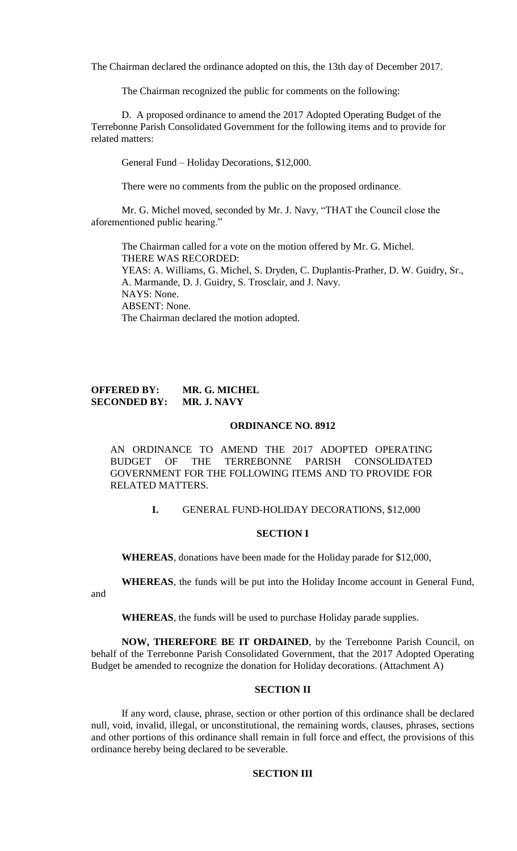The Chairman declared the ordinance adopted on this, the 13th day of December 2017.

The Chairman recognized the public for comments on the following:

D. A proposed ordinance to amend the 2017 Adopted Operating Budget of the Terrebonne Parish Consolidated Government for the following items and to provide for related matters:

General Fund – Holiday Decorations, \$12,000.

There were no comments from the public on the proposed ordinance.

Mr. G. Michel moved, seconded by Mr. J. Navy, "THAT the Council close the aforementioned public hearing."

The Chairman called for a vote on the motion offered by Mr. G. Michel. THERE WAS RECORDED: YEAS: A. Williams, G. Michel, S. Dryden, C. Duplantis-Prather, D. W. Guidry, Sr., A. Marmande, D. J. Guidry, S. Trosclair, and J. Navy. NAYS: None. ABSENT: None. The Chairman declared the motion adopted.

# **OFFERED BY: MR. G. MICHEL SECONDED BY: MR. J. NAVY**

and

### **ORDINANCE NO. 8912**

AN ORDINANCE TO AMEND THE 2017 ADOPTED OPERATING BUDGET OF THE TERREBONNE PARISH CONSOLIDATED GOVERNMENT FOR THE FOLLOWING ITEMS AND TO PROVIDE FOR RELATED MATTERS.

# **I.** GENERAL FUND-HOLIDAY DECORATIONS, \$12,000

### **SECTION I**

**WHEREAS**, donations have been made for the Holiday parade for \$12,000,

**WHEREAS**, the funds will be put into the Holiday Income account in General Fund,

**WHEREAS**, the funds will be used to purchase Holiday parade supplies.

**NOW, THEREFORE BE IT ORDAINED**, by the Terrebonne Parish Council, on behalf of the Terrebonne Parish Consolidated Government, that the 2017 Adopted Operating Budget be amended to recognize the donation for Holiday decorations. (Attachment A)

# **SECTION II**

If any word, clause, phrase, section or other portion of this ordinance shall be declared null, void, invalid, illegal, or unconstitutional, the remaining words, clauses, phrases, sections and other portions of this ordinance shall remain in full force and effect, the provisions of this ordinance hereby being declared to be severable.

### **SECTION III**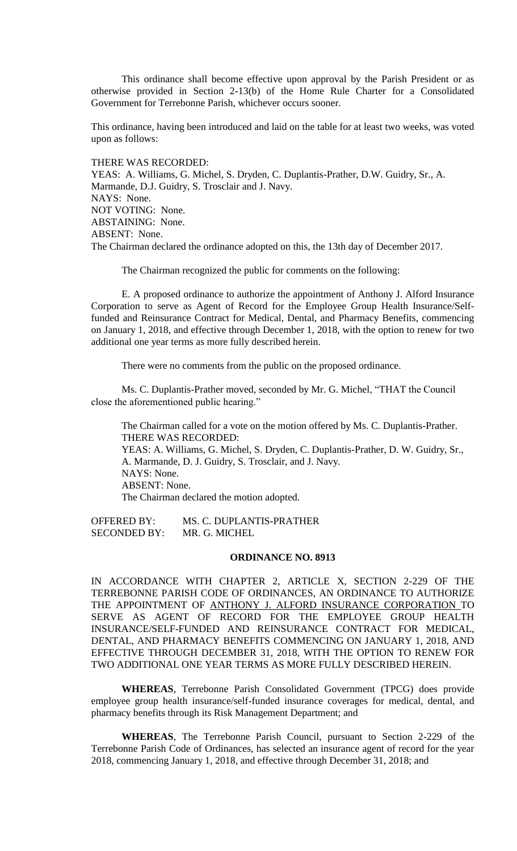This ordinance shall become effective upon approval by the Parish President or as otherwise provided in Section 2-13(b) of the Home Rule Charter for a Consolidated Government for Terrebonne Parish, whichever occurs sooner.

This ordinance, having been introduced and laid on the table for at least two weeks, was voted upon as follows:

### THERE WAS RECORDED:

YEAS: A. Williams, G. Michel, S. Dryden, C. Duplantis-Prather, D.W. Guidry, Sr., A. Marmande, D.J. Guidry, S. Trosclair and J. Navy. NAYS: None. NOT VOTING: None. ABSTAINING: None. ABSENT: None. The Chairman declared the ordinance adopted on this, the 13th day of December 2017.

The Chairman recognized the public for comments on the following:

E. A proposed ordinance to authorize the appointment of Anthony J. Alford Insurance Corporation to serve as Agent of Record for the Employee Group Health Insurance/Selffunded and Reinsurance Contract for Medical, Dental, and Pharmacy Benefits, commencing on January 1, 2018, and effective through December 1, 2018, with the option to renew for two additional one year terms as more fully described herein.

There were no comments from the public on the proposed ordinance.

Ms. C. Duplantis-Prather moved, seconded by Mr. G. Michel, "THAT the Council close the aforementioned public hearing."

The Chairman called for a vote on the motion offered by Ms. C. Duplantis-Prather. THERE WAS RECORDED: YEAS: A. Williams, G. Michel, S. Dryden, C. Duplantis-Prather, D. W. Guidry, Sr., A. Marmande, D. J. Guidry, S. Trosclair, and J. Navy. NAYS: None. ABSENT: None. The Chairman declared the motion adopted.

OFFERED BY: MS. C. DUPLANTIS-PRATHER SECONDED BY: MR. G. MICHEL

#### **ORDINANCE NO. 8913**

IN ACCORDANCE WITH CHAPTER 2, ARTICLE X, SECTION 2-229 OF THE TERREBONNE PARISH CODE OF ORDINANCES, AN ORDINANCE TO AUTHORIZE THE APPOINTMENT OF ANTHONY J. ALFORD INSURANCE CORPORATION TO SERVE AS AGENT OF RECORD FOR THE EMPLOYEE GROUP HEALTH INSURANCE/SELF-FUNDED AND REINSURANCE CONTRACT FOR MEDICAL, DENTAL, AND PHARMACY BENEFITS COMMENCING ON JANUARY 1, 2018, AND EFFECTIVE THROUGH DECEMBER 31, 2018, WITH THE OPTION TO RENEW FOR TWO ADDITIONAL ONE YEAR TERMS AS MORE FULLY DESCRIBED HEREIN.

**WHEREAS**, Terrebonne Parish Consolidated Government (TPCG) does provide employee group health insurance/self-funded insurance coverages for medical, dental, and pharmacy benefits through its Risk Management Department; and

**WHEREAS**, The Terrebonne Parish Council, pursuant to Section 2-229 of the Terrebonne Parish Code of Ordinances, has selected an insurance agent of record for the year 2018, commencing January 1, 2018, and effective through December 31, 2018; and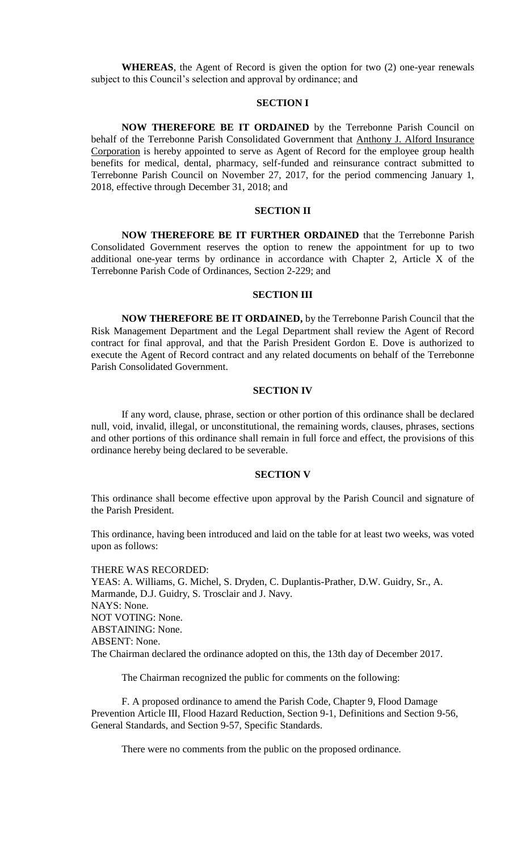**WHEREAS**, the Agent of Record is given the option for two (2) one-year renewals subject to this Council's selection and approval by ordinance; and

### **SECTION I**

**NOW THEREFORE BE IT ORDAINED** by the Terrebonne Parish Council on behalf of the Terrebonne Parish Consolidated Government that Anthony J. Alford Insurance Corporation is hereby appointed to serve as Agent of Record for the employee group health benefits for medical, dental, pharmacy, self-funded and reinsurance contract submitted to Terrebonne Parish Council on November 27, 2017, for the period commencing January 1, 2018, effective through December 31, 2018; and

# **SECTION II**

**NOW THEREFORE BE IT FURTHER ORDAINED** that the Terrebonne Parish Consolidated Government reserves the option to renew the appointment for up to two additional one-year terms by ordinance in accordance with Chapter 2, Article X of the Terrebonne Parish Code of Ordinances, Section 2-229; and

#### **SECTION III**

**NOW THEREFORE BE IT ORDAINED,** by the Terrebonne Parish Council that the Risk Management Department and the Legal Department shall review the Agent of Record contract for final approval, and that the Parish President Gordon E. Dove is authorized to execute the Agent of Record contract and any related documents on behalf of the Terrebonne Parish Consolidated Government.

#### **SECTION IV**

If any word, clause, phrase, section or other portion of this ordinance shall be declared null, void, invalid, illegal, or unconstitutional, the remaining words, clauses, phrases, sections and other portions of this ordinance shall remain in full force and effect, the provisions of this ordinance hereby being declared to be severable.

#### **SECTION V**

This ordinance shall become effective upon approval by the Parish Council and signature of the Parish President.

This ordinance, having been introduced and laid on the table for at least two weeks, was voted upon as follows:

THERE WAS RECORDED: YEAS: A. Williams, G. Michel, S. Dryden, C. Duplantis-Prather, D.W. Guidry, Sr., A. Marmande, D.J. Guidry, S. Trosclair and J. Navy. NAYS: None. NOT VOTING: None. ABSTAINING: None. ABSENT: None. The Chairman declared the ordinance adopted on this, the 13th day of December 2017.

The Chairman recognized the public for comments on the following:

F. A proposed ordinance to amend the Parish Code, Chapter 9, Flood Damage Prevention Article III, Flood Hazard Reduction, Section 9-1, Definitions and Section 9-56, General Standards, and Section 9-57, Specific Standards.

There were no comments from the public on the proposed ordinance.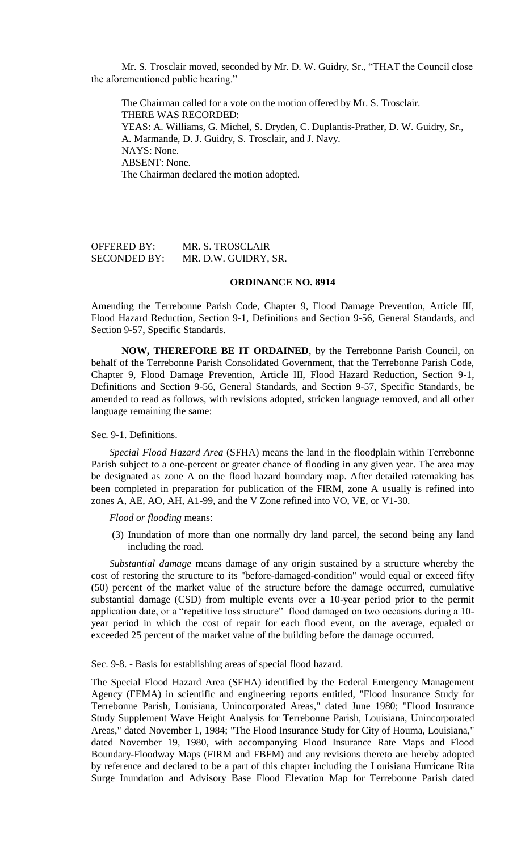Mr. S. Trosclair moved, seconded by Mr. D. W. Guidry, Sr., "THAT the Council close the aforementioned public hearing."

The Chairman called for a vote on the motion offered by Mr. S. Trosclair. THERE WAS RECORDED: YEAS: A. Williams, G. Michel, S. Dryden, C. Duplantis-Prather, D. W. Guidry, Sr., A. Marmande, D. J. Guidry, S. Trosclair, and J. Navy. NAYS: None. ABSENT: None. The Chairman declared the motion adopted.

OFFERED BY: MR. S. TROSCLAIR SECONDED BY: MR. D.W. GUIDRY, SR.

# **ORDINANCE NO. 8914**

Amending the Terrebonne Parish Code, Chapter 9, Flood Damage Prevention, Article III, Flood Hazard Reduction, Section 9-1, Definitions and Section 9-56, General Standards, and Section 9-57, Specific Standards.

**NOW, THEREFORE BE IT ORDAINED**, by the Terrebonne Parish Council, on behalf of the Terrebonne Parish Consolidated Government, that the Terrebonne Parish Code, Chapter 9, Flood Damage Prevention, Article III, Flood Hazard Reduction, Section 9-1, Definitions and Section 9-56, General Standards, and Section 9-57, Specific Standards, be amended to read as follows, with revisions adopted, stricken language removed, and all other language remaining the same:

### Sec. 9-1. Definitions.

*Special Flood Hazard Area* (SFHA) means the land in the floodplain within Terrebonne Parish subject to a one-percent or greater chance of flooding in any given year. The area may be designated as zone A on the flood hazard boundary map. After detailed ratemaking has been completed in preparation for publication of the FIRM, zone A usually is refined into zones A, AE, AO, AH, A1-99, and the V Zone refined into VO, VE, or V1-30.

*Flood or flooding* means:

(3) Inundation of more than one normally dry land parcel, the second being any land including the road.

*Substantial damage* means damage of any origin sustained by a structure whereby the cost of restoring the structure to its "before-damaged-condition" would equal or exceed fifty (50) percent of the market value of the structure before the damage occurred, cumulative substantial damage (CSD) from multiple events over a 10-year period prior to the permit application date, or a "repetitive loss structure" flood damaged on two occasions during a 10year period in which the cost of repair for each flood event, on the average, equaled or exceeded 25 percent of the market value of the building before the damage occurred.

Sec. 9-8. - Basis for establishing areas of special flood hazard.

The Special Flood Hazard Area (SFHA) identified by the Federal Emergency Management Agency (FEMA) in scientific and engineering reports entitled, "Flood Insurance Study for Terrebonne Parish, Louisiana, Unincorporated Areas," dated June 1980; "Flood Insurance Study Supplement Wave Height Analysis for Terrebonne Parish, Louisiana, Unincorporated Areas," dated November 1, 1984; "The Flood Insurance Study for City of Houma, Louisiana," dated November 19, 1980, with accompanying Flood Insurance Rate Maps and Flood Boundary-Floodway Maps (FIRM and FBFM) and any revisions thereto are hereby adopted by reference and declared to be a part of this chapter including the Louisiana Hurricane Rita Surge Inundation and Advisory Base Flood Elevation Map for Terrebonne Parish dated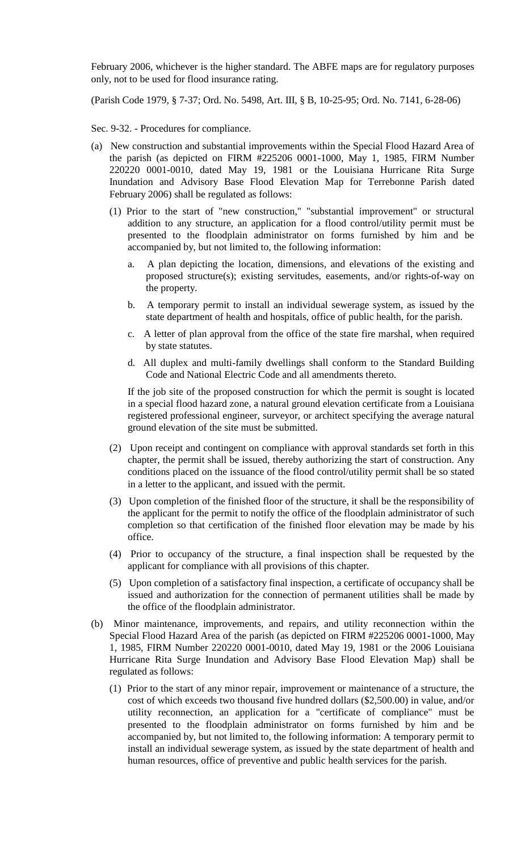February 2006, whichever is the higher standard. The ABFE maps are for regulatory purposes only, not to be used for flood insurance rating.

(Parish Code 1979, § 7-37; Ord. No. 5498, Art. III, § B, 10-25-95; Ord. No. 7141, 6-28-06)

Sec. 9-32. - Procedures for compliance.

- (a) New construction and substantial improvements within the Special Flood Hazard Area of the parish (as depicted on FIRM #225206 0001-1000, May 1, 1985, FIRM Number 220220 0001-0010, dated May 19, 1981 or the Louisiana Hurricane Rita Surge Inundation and Advisory Base Flood Elevation Map for Terrebonne Parish dated February 2006) shall be regulated as follows:
	- (1) Prior to the start of "new construction," "substantial improvement" or structural addition to any structure, an application for a flood control/utility permit must be presented to the floodplain administrator on forms furnished by him and be accompanied by, but not limited to, the following information:
		- a. A plan depicting the location, dimensions, and elevations of the existing and proposed structure(s); existing servitudes, easements, and/or rights-of-way on the property.
		- b. A temporary permit to install an individual sewerage system, as issued by the state department of health and hospitals, office of public health, for the parish.
		- c. A letter of plan approval from the office of the state fire marshal, when required by state statutes.
		- d. All duplex and multi-family dwellings shall conform to the Standard Building Code and National Electric Code and all amendments thereto.

If the job site of the proposed construction for which the permit is sought is located in a special flood hazard zone, a natural ground elevation certificate from a Louisiana registered professional engineer, surveyor, or architect specifying the average natural ground elevation of the site must be submitted.

- (2) Upon receipt and contingent on compliance with approval standards set forth in this chapter, the permit shall be issued, thereby authorizing the start of construction. Any conditions placed on the issuance of the flood control/utility permit shall be so stated in a letter to the applicant, and issued with the permit.
- (3) Upon completion of the finished floor of the structure, it shall be the responsibility of the applicant for the permit to notify the office of the floodplain administrator of such completion so that certification of the finished floor elevation may be made by his office.
- (4) Prior to occupancy of the structure, a final inspection shall be requested by the applicant for compliance with all provisions of this chapter.
- (5) Upon completion of a satisfactory final inspection, a certificate of occupancy shall be issued and authorization for the connection of permanent utilities shall be made by the office of the floodplain administrator.
- (b) Minor maintenance, improvements, and repairs, and utility reconnection within the Special Flood Hazard Area of the parish (as depicted on FIRM #225206 0001-1000, May 1, 1985, FIRM Number 220220 0001-0010, dated May 19, 1981 or the 2006 Louisiana Hurricane Rita Surge Inundation and Advisory Base Flood Elevation Map) shall be regulated as follows:
	- (1) Prior to the start of any minor repair, improvement or maintenance of a structure, the cost of which exceeds two thousand five hundred dollars (\$2,500.00) in value, and/or utility reconnection, an application for a "certificate of compliance" must be presented to the floodplain administrator on forms furnished by him and be accompanied by, but not limited to, the following information: A temporary permit to install an individual sewerage system, as issued by the state department of health and human resources, office of preventive and public health services for the parish.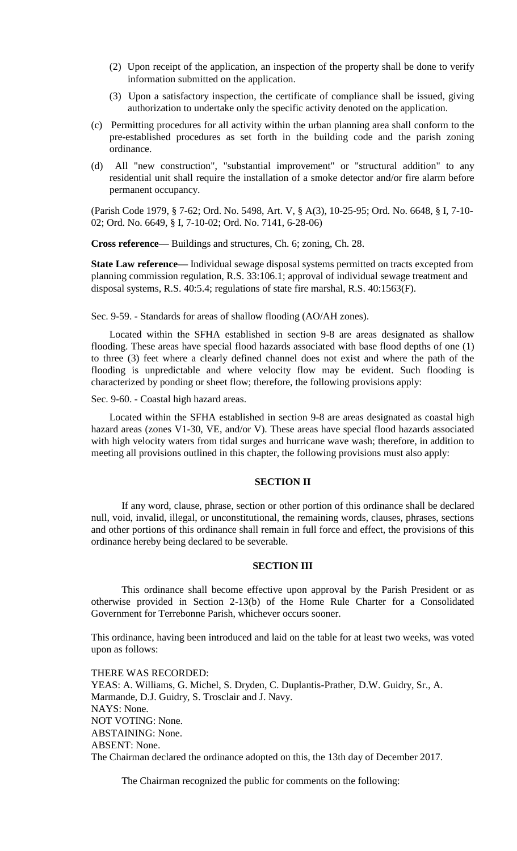- (2) Upon receipt of the application, an inspection of the property shall be done to verify information submitted on the application.
- (3) Upon a satisfactory inspection, the certificate of compliance shall be issued, giving authorization to undertake only the specific activity denoted on the application.
- (c) Permitting procedures for all activity within the urban planning area shall conform to the pre-established procedures as set forth in the building code and the parish zoning ordinance.
- (d) All "new construction", "substantial improvement" or "structural addition" to any residential unit shall require the installation of a smoke detector and/or fire alarm before permanent occupancy.

(Parish Code 1979, § 7-62; Ord. No. 5498, Art. V, § A(3), 10-25-95; Ord. No. 6648, § I, 7-10- 02; Ord. No. 6649, § I, 7-10-02; Ord. No. 7141, 6-28-06)

**Cross reference—** Buildings and structures, Ch. 6; zoning, Ch. 28.

**State Law reference—** Individual sewage disposal systems permitted on tracts excepted from planning commission regulation, R.S. 33:106.1; approval of individual sewage treatment and disposal systems, R.S. 40:5.4; regulations of state fire marshal, R.S. 40:1563(F).

Sec. 9-59. - Standards for areas of shallow flooding (AO/AH zones).

Located within the SFHA established in section 9-8 are areas designated as shallow flooding. These areas have special flood hazards associated with base flood depths of one (1) to three (3) feet where a clearly defined channel does not exist and where the path of the flooding is unpredictable and where velocity flow may be evident. Such flooding is characterized by ponding or sheet flow; therefore, the following provisions apply:

Sec. 9-60. - Coastal high hazard areas.

Located within the SFHA established in section 9-8 are areas designated as coastal high hazard areas (zones V1-30, VE, and/or V). These areas have special flood hazards associated with high velocity waters from tidal surges and hurricane wave wash; therefore, in addition to meeting all provisions outlined in this chapter, the following provisions must also apply:

### **SECTION II**

If any word, clause, phrase, section or other portion of this ordinance shall be declared null, void, invalid, illegal, or unconstitutional, the remaining words, clauses, phrases, sections and other portions of this ordinance shall remain in full force and effect, the provisions of this ordinance hereby being declared to be severable.

# **SECTION III**

This ordinance shall become effective upon approval by the Parish President or as otherwise provided in Section 2-13(b) of the Home Rule Charter for a Consolidated Government for Terrebonne Parish, whichever occurs sooner.

This ordinance, having been introduced and laid on the table for at least two weeks, was voted upon as follows:

THERE WAS RECORDED: YEAS: A. Williams, G. Michel, S. Dryden, C. Duplantis-Prather, D.W. Guidry, Sr., A. Marmande, D.J. Guidry, S. Trosclair and J. Navy. NAYS: None. NOT VOTING: None. ABSTAINING: None. ABSENT: None. The Chairman declared the ordinance adopted on this, the 13th day of December 2017.

The Chairman recognized the public for comments on the following: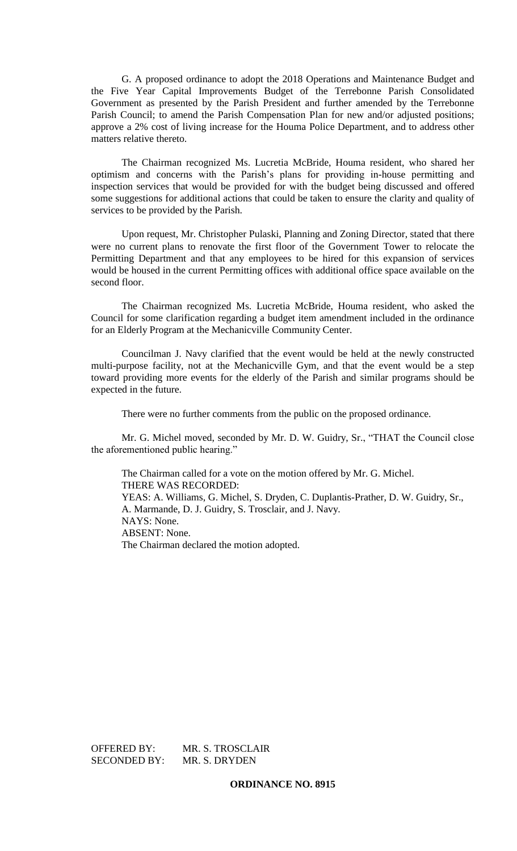G. A proposed ordinance to adopt the 2018 Operations and Maintenance Budget and the Five Year Capital Improvements Budget of the Terrebonne Parish Consolidated Government as presented by the Parish President and further amended by the Terrebonne Parish Council; to amend the Parish Compensation Plan for new and/or adjusted positions; approve a 2% cost of living increase for the Houma Police Department, and to address other matters relative thereto.

The Chairman recognized Ms. Lucretia McBride, Houma resident, who shared her optimism and concerns with the Parish's plans for providing in-house permitting and inspection services that would be provided for with the budget being discussed and offered some suggestions for additional actions that could be taken to ensure the clarity and quality of services to be provided by the Parish.

Upon request, Mr. Christopher Pulaski, Planning and Zoning Director, stated that there were no current plans to renovate the first floor of the Government Tower to relocate the Permitting Department and that any employees to be hired for this expansion of services would be housed in the current Permitting offices with additional office space available on the second floor.

The Chairman recognized Ms. Lucretia McBride, Houma resident, who asked the Council for some clarification regarding a budget item amendment included in the ordinance for an Elderly Program at the Mechanicville Community Center.

Councilman J. Navy clarified that the event would be held at the newly constructed multi-purpose facility, not at the Mechanicville Gym, and that the event would be a step toward providing more events for the elderly of the Parish and similar programs should be expected in the future.

There were no further comments from the public on the proposed ordinance.

Mr. G. Michel moved, seconded by Mr. D. W. Guidry, Sr., "THAT the Council close the aforementioned public hearing."

The Chairman called for a vote on the motion offered by Mr. G. Michel. THERE WAS RECORDED: YEAS: A. Williams, G. Michel, S. Dryden, C. Duplantis-Prather, D. W. Guidry, Sr., A. Marmande, D. J. Guidry, S. Trosclair, and J. Navy. NAYS: None. ABSENT: None. The Chairman declared the motion adopted.

OFFERED BY: MR. S. TROSCLAIR SECONDED BY: MR. S. DRYDEN

# **ORDINANCE NO. 8915**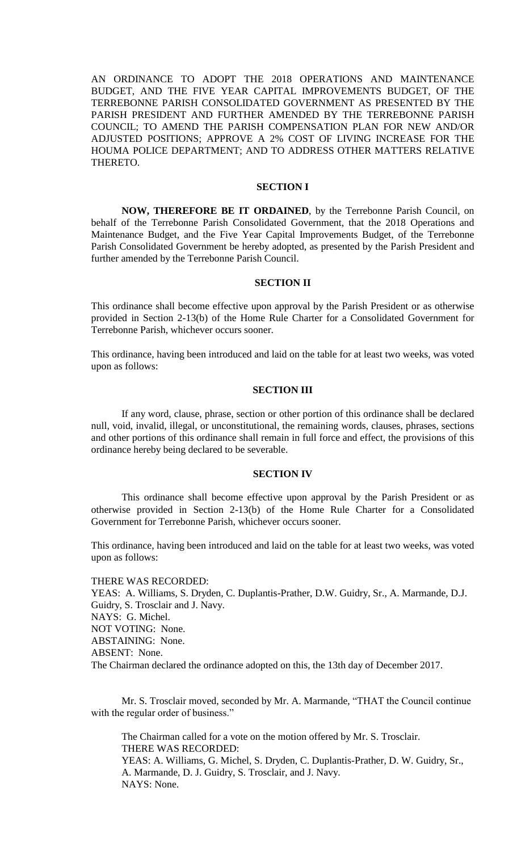AN ORDINANCE TO ADOPT THE 2018 OPERATIONS AND MAINTENANCE BUDGET, AND THE FIVE YEAR CAPITAL IMPROVEMENTS BUDGET, OF THE TERREBONNE PARISH CONSOLIDATED GOVERNMENT AS PRESENTED BY THE PARISH PRESIDENT AND FURTHER AMENDED BY THE TERREBONNE PARISH COUNCIL; TO AMEND THE PARISH COMPENSATION PLAN FOR NEW AND/OR ADJUSTED POSITIONS; APPROVE A 2% COST OF LIVING INCREASE FOR THE HOUMA POLICE DEPARTMENT; AND TO ADDRESS OTHER MATTERS RELATIVE THERETO.

#### **SECTION I**

**NOW, THEREFORE BE IT ORDAINED**, by the Terrebonne Parish Council, on behalf of the Terrebonne Parish Consolidated Government, that the 2018 Operations and Maintenance Budget, and the Five Year Capital Improvements Budget, of the Terrebonne Parish Consolidated Government be hereby adopted, as presented by the Parish President and further amended by the Terrebonne Parish Council.

#### **SECTION II**

This ordinance shall become effective upon approval by the Parish President or as otherwise provided in Section 2-13(b) of the Home Rule Charter for a Consolidated Government for Terrebonne Parish, whichever occurs sooner.

This ordinance, having been introduced and laid on the table for at least two weeks, was voted upon as follows:

#### **SECTION III**

If any word, clause, phrase, section or other portion of this ordinance shall be declared null, void, invalid, illegal, or unconstitutional, the remaining words, clauses, phrases, sections and other portions of this ordinance shall remain in full force and effect, the provisions of this ordinance hereby being declared to be severable.

### **SECTION IV**

This ordinance shall become effective upon approval by the Parish President or as otherwise provided in Section 2-13(b) of the Home Rule Charter for a Consolidated Government for Terrebonne Parish, whichever occurs sooner.

This ordinance, having been introduced and laid on the table for at least two weeks, was voted upon as follows:

THERE WAS RECORDED: YEAS: A. Williams, S. Dryden, C. Duplantis-Prather, D.W. Guidry, Sr., A. Marmande, D.J. Guidry, S. Trosclair and J. Navy. NAYS: G. Michel. NOT VOTING: None. ABSTAINING: None. ABSENT: None. The Chairman declared the ordinance adopted on this, the 13th day of December 2017.

Mr. S. Trosclair moved, seconded by Mr. A. Marmande, "THAT the Council continue with the regular order of business."

The Chairman called for a vote on the motion offered by Mr. S. Trosclair. THERE WAS RECORDED: YEAS: A. Williams, G. Michel, S. Dryden, C. Duplantis-Prather, D. W. Guidry, Sr., A. Marmande, D. J. Guidry, S. Trosclair, and J. Navy. NAYS: None.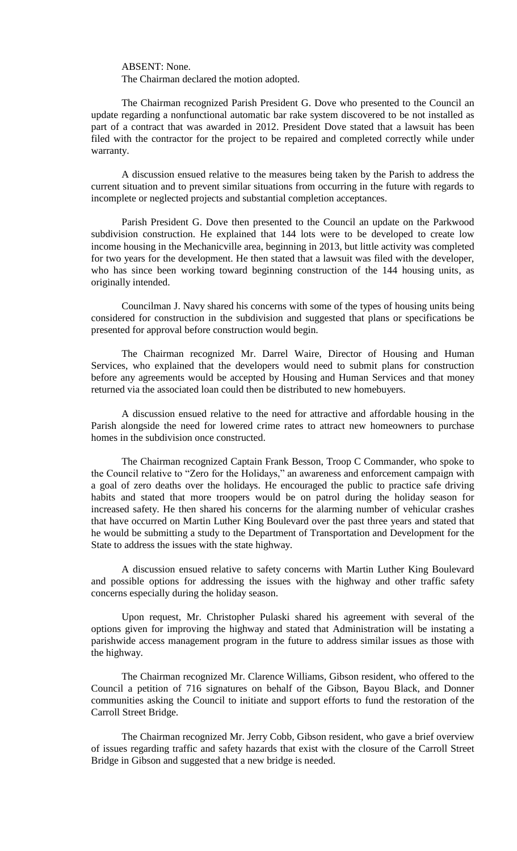ABSENT: None.

The Chairman declared the motion adopted.

The Chairman recognized Parish President G. Dove who presented to the Council an update regarding a nonfunctional automatic bar rake system discovered to be not installed as part of a contract that was awarded in 2012. President Dove stated that a lawsuit has been filed with the contractor for the project to be repaired and completed correctly while under warranty.

A discussion ensued relative to the measures being taken by the Parish to address the current situation and to prevent similar situations from occurring in the future with regards to incomplete or neglected projects and substantial completion acceptances.

Parish President G. Dove then presented to the Council an update on the Parkwood subdivision construction. He explained that 144 lots were to be developed to create low income housing in the Mechanicville area, beginning in 2013, but little activity was completed for two years for the development. He then stated that a lawsuit was filed with the developer, who has since been working toward beginning construction of the 144 housing units, as originally intended.

Councilman J. Navy shared his concerns with some of the types of housing units being considered for construction in the subdivision and suggested that plans or specifications be presented for approval before construction would begin.

The Chairman recognized Mr. Darrel Waire, Director of Housing and Human Services, who explained that the developers would need to submit plans for construction before any agreements would be accepted by Housing and Human Services and that money returned via the associated loan could then be distributed to new homebuyers.

A discussion ensued relative to the need for attractive and affordable housing in the Parish alongside the need for lowered crime rates to attract new homeowners to purchase homes in the subdivision once constructed.

The Chairman recognized Captain Frank Besson, Troop C Commander, who spoke to the Council relative to "Zero for the Holidays," an awareness and enforcement campaign with a goal of zero deaths over the holidays. He encouraged the public to practice safe driving habits and stated that more troopers would be on patrol during the holiday season for increased safety. He then shared his concerns for the alarming number of vehicular crashes that have occurred on Martin Luther King Boulevard over the past three years and stated that he would be submitting a study to the Department of Transportation and Development for the State to address the issues with the state highway.

A discussion ensued relative to safety concerns with Martin Luther King Boulevard and possible options for addressing the issues with the highway and other traffic safety concerns especially during the holiday season.

Upon request, Mr. Christopher Pulaski shared his agreement with several of the options given for improving the highway and stated that Administration will be instating a parishwide access management program in the future to address similar issues as those with the highway.

The Chairman recognized Mr. Clarence Williams, Gibson resident, who offered to the Council a petition of 716 signatures on behalf of the Gibson, Bayou Black, and Donner communities asking the Council to initiate and support efforts to fund the restoration of the Carroll Street Bridge.

The Chairman recognized Mr. Jerry Cobb, Gibson resident, who gave a brief overview of issues regarding traffic and safety hazards that exist with the closure of the Carroll Street Bridge in Gibson and suggested that a new bridge is needed.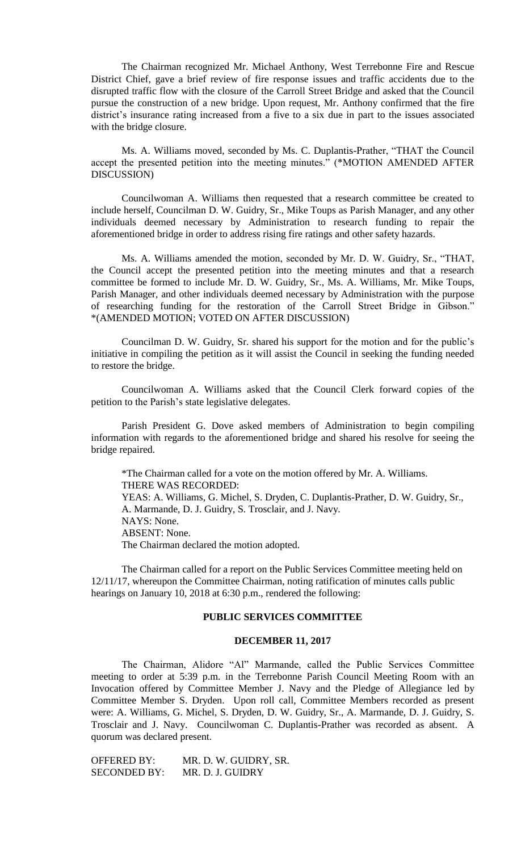The Chairman recognized Mr. Michael Anthony, West Terrebonne Fire and Rescue District Chief, gave a brief review of fire response issues and traffic accidents due to the disrupted traffic flow with the closure of the Carroll Street Bridge and asked that the Council pursue the construction of a new bridge. Upon request, Mr. Anthony confirmed that the fire district's insurance rating increased from a five to a six due in part to the issues associated with the bridge closure.

Ms. A. Williams moved, seconded by Ms. C. Duplantis-Prather, "THAT the Council accept the presented petition into the meeting minutes." (\*MOTION AMENDED AFTER DISCUSSION)

Councilwoman A. Williams then requested that a research committee be created to include herself, Councilman D. W. Guidry, Sr., Mike Toups as Parish Manager, and any other individuals deemed necessary by Administration to research funding to repair the aforementioned bridge in order to address rising fire ratings and other safety hazards.

Ms. A. Williams amended the motion, seconded by Mr. D. W. Guidry, Sr., "THAT, the Council accept the presented petition into the meeting minutes and that a research committee be formed to include Mr. D. W. Guidry, Sr., Ms. A. Williams, Mr. Mike Toups, Parish Manager, and other individuals deemed necessary by Administration with the purpose of researching funding for the restoration of the Carroll Street Bridge in Gibson." \*(AMENDED MOTION; VOTED ON AFTER DISCUSSION)

Councilman D. W. Guidry, Sr. shared his support for the motion and for the public's initiative in compiling the petition as it will assist the Council in seeking the funding needed to restore the bridge.

Councilwoman A. Williams asked that the Council Clerk forward copies of the petition to the Parish's state legislative delegates.

Parish President G. Dove asked members of Administration to begin compiling information with regards to the aforementioned bridge and shared his resolve for seeing the bridge repaired.

\*The Chairman called for a vote on the motion offered by Mr. A. Williams. THERE WAS RECORDED: YEAS: A. Williams, G. Michel, S. Dryden, C. Duplantis-Prather, D. W. Guidry, Sr., A. Marmande, D. J. Guidry, S. Trosclair, and J. Navy. NAYS: None. ABSENT: None. The Chairman declared the motion adopted.

The Chairman called for a report on the Public Services Committee meeting held on 12/11/17, whereupon the Committee Chairman, noting ratification of minutes calls public hearings on January 10, 2018 at 6:30 p.m., rendered the following:

## **PUBLIC SERVICES COMMITTEE**

#### **DECEMBER 11, 2017**

The Chairman, Alidore "Al" Marmande, called the Public Services Committee meeting to order at 5:39 p.m. in the Terrebonne Parish Council Meeting Room with an Invocation offered by Committee Member J. Navy and the Pledge of Allegiance led by Committee Member S. Dryden. Upon roll call, Committee Members recorded as present were: A. Williams, G. Michel, S. Dryden, D. W. Guidry, Sr., A. Marmande, D. J. Guidry, S. Trosclair and J. Navy. Councilwoman C. Duplantis-Prather was recorded as absent. A quorum was declared present.

OFFERED BY: MR. D. W. GUIDRY, SR. SECONDED BY: MR. D. J. GUIDRY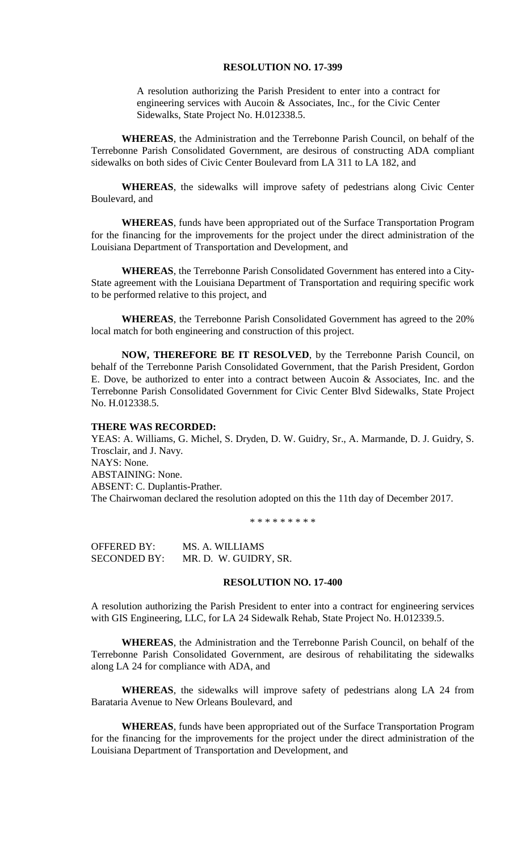#### **RESOLUTION NO. 17-399**

A resolution authorizing the Parish President to enter into a contract for engineering services with Aucoin & Associates, Inc., for the Civic Center Sidewalks, State Project No. H.012338.5.

**WHEREAS**, the Administration and the Terrebonne Parish Council, on behalf of the Terrebonne Parish Consolidated Government, are desirous of constructing ADA compliant sidewalks on both sides of Civic Center Boulevard from LA 311 to LA 182, and

**WHEREAS**, the sidewalks will improve safety of pedestrians along Civic Center Boulevard, and

**WHEREAS**, funds have been appropriated out of the Surface Transportation Program for the financing for the improvements for the project under the direct administration of the Louisiana Department of Transportation and Development, and

**WHEREAS**, the Terrebonne Parish Consolidated Government has entered into a City-State agreement with the Louisiana Department of Transportation and requiring specific work to be performed relative to this project, and

**WHEREAS**, the Terrebonne Parish Consolidated Government has agreed to the 20% local match for both engineering and construction of this project.

**NOW, THEREFORE BE IT RESOLVED**, by the Terrebonne Parish Council, on behalf of the Terrebonne Parish Consolidated Government, that the Parish President, Gordon E. Dove, be authorized to enter into a contract between Aucoin & Associates, Inc. and the Terrebonne Parish Consolidated Government for Civic Center Blvd Sidewalks, State Project No. H.012338.5.

### **THERE WAS RECORDED:**

YEAS: A. Williams, G. Michel, S. Dryden, D. W. Guidry, Sr., A. Marmande, D. J. Guidry, S. Trosclair, and J. Navy. NAYS: None. ABSTAINING: None. ABSENT: C. Duplantis-Prather. The Chairwoman declared the resolution adopted on this the 11th day of December 2017.

\* \* \* \* \* \* \* \* \*

OFFERED BY: MS. A. WILLIAMS SECONDED BY: MR. D. W. GUIDRY, SR.

#### **RESOLUTION NO. 17-400**

A resolution authorizing the Parish President to enter into a contract for engineering services with GIS Engineering, LLC, for LA 24 Sidewalk Rehab, State Project No. H.012339.5.

**WHEREAS**, the Administration and the Terrebonne Parish Council, on behalf of the Terrebonne Parish Consolidated Government, are desirous of rehabilitating the sidewalks along LA 24 for compliance with ADA, and

**WHEREAS**, the sidewalks will improve safety of pedestrians along LA 24 from Barataria Avenue to New Orleans Boulevard, and

**WHEREAS**, funds have been appropriated out of the Surface Transportation Program for the financing for the improvements for the project under the direct administration of the Louisiana Department of Transportation and Development, and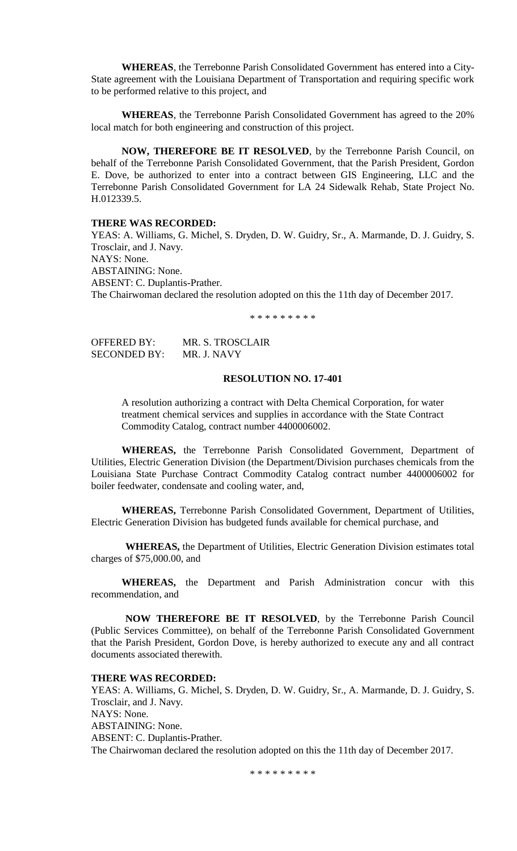**WHEREAS**, the Terrebonne Parish Consolidated Government has entered into a City-State agreement with the Louisiana Department of Transportation and requiring specific work to be performed relative to this project, and

**WHEREAS**, the Terrebonne Parish Consolidated Government has agreed to the 20% local match for both engineering and construction of this project.

**NOW, THEREFORE BE IT RESOLVED**, by the Terrebonne Parish Council, on behalf of the Terrebonne Parish Consolidated Government, that the Parish President, Gordon E. Dove, be authorized to enter into a contract between GIS Engineering, LLC and the Terrebonne Parish Consolidated Government for LA 24 Sidewalk Rehab, State Project No. H.012339.5.

### **THERE WAS RECORDED:**

YEAS: A. Williams, G. Michel, S. Dryden, D. W. Guidry, Sr., A. Marmande, D. J. Guidry, S. Trosclair, and J. Navy. NAYS: None. ABSTAINING: None. ABSENT: C. Duplantis-Prather. The Chairwoman declared the resolution adopted on this the 11th day of December 2017.

\* \* \* \* \* \* \* \* \*

| OFFERED BY:  | MR. S. TROSCLAIR |
|--------------|------------------|
| SECONDED BY: | MR. J. NAVY      |

### **RESOLUTION NO. 17-401**

A resolution authorizing a contract with Delta Chemical Corporation, for water treatment chemical services and supplies in accordance with the State Contract Commodity Catalog, contract number 4400006002.

**WHEREAS,** the Terrebonne Parish Consolidated Government, Department of Utilities, Electric Generation Division (the Department/Division purchases chemicals from the Louisiana State Purchase Contract Commodity Catalog contract number 4400006002 for boiler feedwater, condensate and cooling water, and,

**WHEREAS,** Terrebonne Parish Consolidated Government, Department of Utilities, Electric Generation Division has budgeted funds available for chemical purchase, and

**WHEREAS,** the Department of Utilities, Electric Generation Division estimates total charges of \$75,000.00, and

**WHEREAS,** the Department and Parish Administration concur with this recommendation, and

**NOW THEREFORE BE IT RESOLVED**, by the Terrebonne Parish Council (Public Services Committee), on behalf of the Terrebonne Parish Consolidated Government that the Parish President, Gordon Dove, is hereby authorized to execute any and all contract documents associated therewith.

### **THERE WAS RECORDED:**

YEAS: A. Williams, G. Michel, S. Dryden, D. W. Guidry, Sr., A. Marmande, D. J. Guidry, S. Trosclair, and J. Navy. NAYS: None. ABSTAINING: None. ABSENT: C. Duplantis-Prather. The Chairwoman declared the resolution adopted on this the 11th day of December 2017.

\* \* \* \* \* \* \* \* \*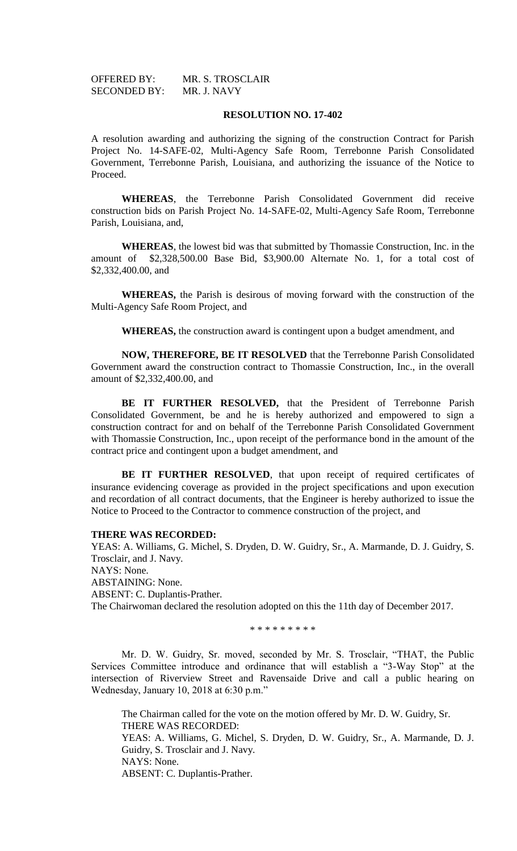| OFFERED BY:         | MR. S. TROSCLAIR |
|---------------------|------------------|
| <b>SECONDED BY:</b> | MR. J. NAVY      |

#### **RESOLUTION NO. 17-402**

A resolution awarding and authorizing the signing of the construction Contract for Parish Project No. 14-SAFE-02, Multi-Agency Safe Room, Terrebonne Parish Consolidated Government, Terrebonne Parish, Louisiana, and authorizing the issuance of the Notice to Proceed.

**WHEREAS**, the Terrebonne Parish Consolidated Government did receive construction bids on Parish Project No. 14-SAFE-02, Multi-Agency Safe Room, Terrebonne Parish, Louisiana, and,

**WHEREAS**, the lowest bid was that submitted by Thomassie Construction, Inc. in the amount of \$2,328,500.00 Base Bid, \$3,900.00 Alternate No. 1, for a total cost of \$2,332,400.00, and

**WHEREAS,** the Parish is desirous of moving forward with the construction of the Multi-Agency Safe Room Project, and

**WHEREAS,** the construction award is contingent upon a budget amendment, and

**NOW, THEREFORE, BE IT RESOLVED** that the Terrebonne Parish Consolidated Government award the construction contract to Thomassie Construction, Inc., in the overall amount of \$2,332,400.00, and

**BE IT FURTHER RESOLVED,** that the President of Terrebonne Parish Consolidated Government, be and he is hereby authorized and empowered to sign a construction contract for and on behalf of the Terrebonne Parish Consolidated Government with Thomassie Construction, Inc., upon receipt of the performance bond in the amount of the contract price and contingent upon a budget amendment, and

BE IT FURTHER RESOLVED, that upon receipt of required certificates of insurance evidencing coverage as provided in the project specifications and upon execution and recordation of all contract documents, that the Engineer is hereby authorized to issue the Notice to Proceed to the Contractor to commence construction of the project, and

#### **THERE WAS RECORDED:**

YEAS: A. Williams, G. Michel, S. Dryden, D. W. Guidry, Sr., A. Marmande, D. J. Guidry, S. Trosclair, and J. Navy. NAYS: None. ABSTAINING: None. ABSENT: C. Duplantis-Prather. The Chairwoman declared the resolution adopted on this the 11th day of December 2017.

\* \* \* \* \* \* \* \* \*

Mr. D. W. Guidry, Sr. moved, seconded by Mr. S. Trosclair, "THAT, the Public Services Committee introduce and ordinance that will establish a "3-Way Stop" at the intersection of Riverview Street and Ravensaide Drive and call a public hearing on Wednesday, January 10, 2018 at 6:30 p.m."

The Chairman called for the vote on the motion offered by Mr. D. W. Guidry, Sr. THERE WAS RECORDED: YEAS: A. Williams, G. Michel, S. Dryden, D. W. Guidry, Sr., A. Marmande, D. J. Guidry, S. Trosclair and J. Navy. NAYS: None. ABSENT: C. Duplantis-Prather.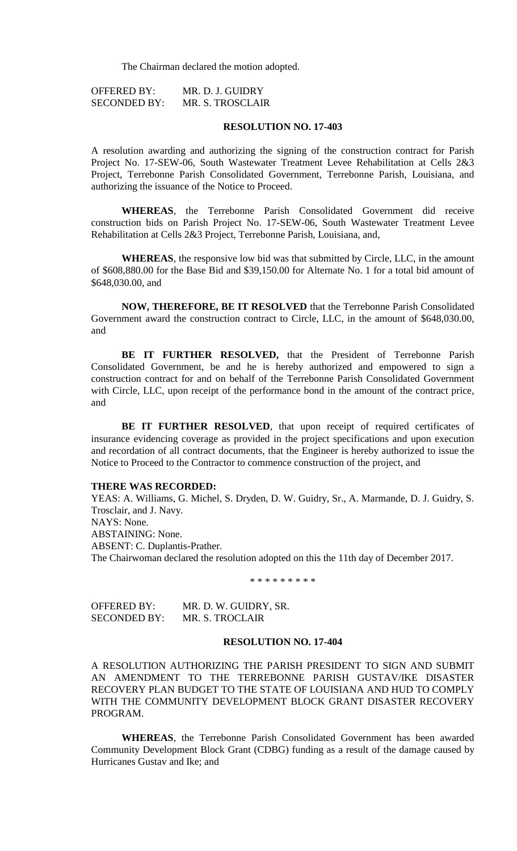The Chairman declared the motion adopted.

| <b>OFFERED BY:</b>  | MR. D. J. GUIDRY |
|---------------------|------------------|
| <b>SECONDED BY:</b> | MR. S. TROSCLAIR |

#### **RESOLUTION NO. 17-403**

A resolution awarding and authorizing the signing of the construction contract for Parish Project No. 17-SEW-06, South Wastewater Treatment Levee Rehabilitation at Cells 2&3 Project, Terrebonne Parish Consolidated Government, Terrebonne Parish, Louisiana, and authorizing the issuance of the Notice to Proceed.

**WHEREAS**, the Terrebonne Parish Consolidated Government did receive construction bids on Parish Project No. 17-SEW-06, South Wastewater Treatment Levee Rehabilitation at Cells 2&3 Project, Terrebonne Parish, Louisiana, and,

**WHEREAS**, the responsive low bid was that submitted by Circle, LLC, in the amount of \$608,880.00 for the Base Bid and \$39,150.00 for Alternate No. 1 for a total bid amount of \$648,030.00, and

**NOW, THEREFORE, BE IT RESOLVED** that the Terrebonne Parish Consolidated Government award the construction contract to Circle, LLC, in the amount of \$648,030.00, and

**BE IT FURTHER RESOLVED,** that the President of Terrebonne Parish Consolidated Government, be and he is hereby authorized and empowered to sign a construction contract for and on behalf of the Terrebonne Parish Consolidated Government with Circle, LLC, upon receipt of the performance bond in the amount of the contract price, and

BE IT FURTHER RESOLVED, that upon receipt of required certificates of insurance evidencing coverage as provided in the project specifications and upon execution and recordation of all contract documents, that the Engineer is hereby authorized to issue the Notice to Proceed to the Contractor to commence construction of the project, and

### **THERE WAS RECORDED:**

YEAS: A. Williams, G. Michel, S. Dryden, D. W. Guidry, Sr., A. Marmande, D. J. Guidry, S. Trosclair, and J. Navy. NAYS: None. ABSTAINING: None. ABSENT: C. Duplantis-Prather. The Chairwoman declared the resolution adopted on this the 11th day of December 2017.

\* \* \* \* \* \* \* \* \*

| <b>OFFERED BY:</b>  | MR. D. W. GUIDRY, SR. |
|---------------------|-----------------------|
| <b>SECONDED BY:</b> | MR. S. TROCLAIR       |

#### **RESOLUTION NO. 17-404**

A RESOLUTION AUTHORIZING THE PARISH PRESIDENT TO SIGN AND SUBMIT AN AMENDMENT TO THE TERREBONNE PARISH GUSTAV/IKE DISASTER RECOVERY PLAN BUDGET TO THE STATE OF LOUISIANA AND HUD TO COMPLY WITH THE COMMUNITY DEVELOPMENT BLOCK GRANT DISASTER RECOVERY PROGRAM.

**WHEREAS**, the Terrebonne Parish Consolidated Government has been awarded Community Development Block Grant (CDBG) funding as a result of the damage caused by Hurricanes Gustav and Ike; and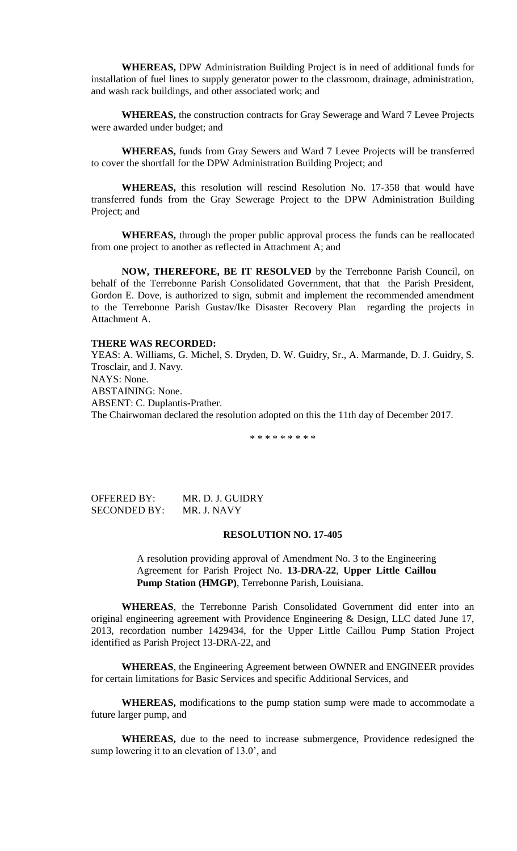**WHEREAS,** DPW Administration Building Project is in need of additional funds for installation of fuel lines to supply generator power to the classroom, drainage, administration, and wash rack buildings, and other associated work; and

**WHEREAS,** the construction contracts for Gray Sewerage and Ward 7 Levee Projects were awarded under budget; and

**WHEREAS,** funds from Gray Sewers and Ward 7 Levee Projects will be transferred to cover the shortfall for the DPW Administration Building Project; and

**WHEREAS,** this resolution will rescind Resolution No. 17-358 that would have transferred funds from the Gray Sewerage Project to the DPW Administration Building Project; and

**WHEREAS,** through the proper public approval process the funds can be reallocated from one project to another as reflected in Attachment A; and

**NOW, THEREFORE, BE IT RESOLVED** by the Terrebonne Parish Council, on behalf of the Terrebonne Parish Consolidated Government, that that the Parish President, Gordon E. Dove, is authorized to sign, submit and implement the recommended amendment to the Terrebonne Parish Gustav/Ike Disaster Recovery Plan regarding the projects in Attachment A.

#### **THERE WAS RECORDED:**

YEAS: A. Williams, G. Michel, S. Dryden, D. W. Guidry, Sr., A. Marmande, D. J. Guidry, S. Trosclair, and J. Navy. NAYS: None. ABSTAINING: None. ABSENT: C. Duplantis-Prather. The Chairwoman declared the resolution adopted on this the 11th day of December 2017.

\* \* \* \* \* \* \* \* \*

OFFERED BY: MR. D. J. GUIDRY SECONDED BY: MR. J. NAVY

## **RESOLUTION NO. 17-405**

A resolution providing approval of Amendment No. 3 to the Engineering Agreement for Parish Project No. **13-DRA-22**, **Upper Little Caillou Pump Station (HMGP)**, Terrebonne Parish, Louisiana.

**WHEREAS**, the Terrebonne Parish Consolidated Government did enter into an original engineering agreement with Providence Engineering & Design, LLC dated June 17, 2013, recordation number 1429434, for the Upper Little Caillou Pump Station Project identified as Parish Project 13-DRA-22, and

**WHEREAS**, the Engineering Agreement between OWNER and ENGINEER provides for certain limitations for Basic Services and specific Additional Services, and

**WHEREAS,** modifications to the pump station sump were made to accommodate a future larger pump, and

**WHEREAS,** due to the need to increase submergence, Providence redesigned the sump lowering it to an elevation of 13.0', and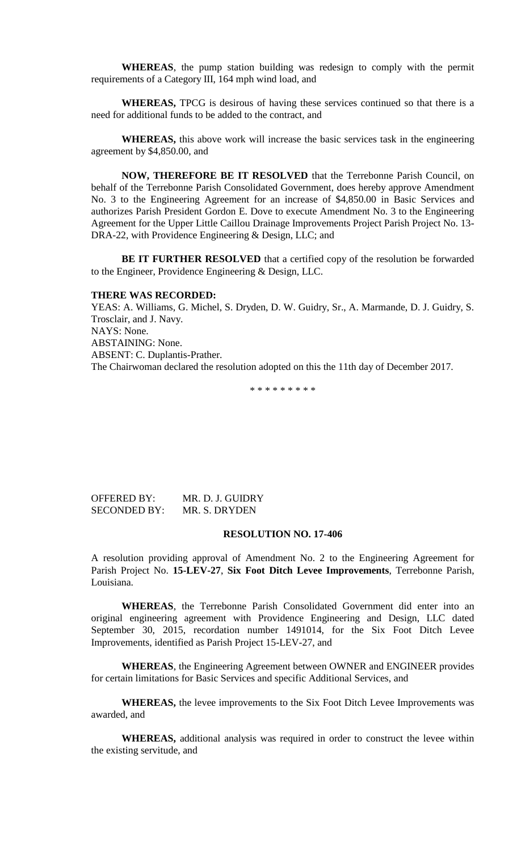**WHEREAS**, the pump station building was redesign to comply with the permit requirements of a Category III, 164 mph wind load, and

**WHEREAS,** TPCG is desirous of having these services continued so that there is a need for additional funds to be added to the contract, and

**WHEREAS,** this above work will increase the basic services task in the engineering agreement by \$4,850.00, and

**NOW, THEREFORE BE IT RESOLVED** that the Terrebonne Parish Council, on behalf of the Terrebonne Parish Consolidated Government, does hereby approve Amendment No. 3 to the Engineering Agreement for an increase of \$4,850.00 in Basic Services and authorizes Parish President Gordon E. Dove to execute Amendment No. 3 to the Engineering Agreement for the Upper Little Caillou Drainage Improvements Project Parish Project No. 13- DRA-22, with Providence Engineering & Design, LLC; and

**BE IT FURTHER RESOLVED** that a certified copy of the resolution be forwarded to the Engineer, Providence Engineering & Design, LLC.

#### **THERE WAS RECORDED:**

YEAS: A. Williams, G. Michel, S. Dryden, D. W. Guidry, Sr., A. Marmande, D. J. Guidry, S. Trosclair, and J. Navy. NAYS: None. ABSTAINING: None. ABSENT: C. Duplantis-Prather. The Chairwoman declared the resolution adopted on this the 11th day of December 2017.

\* \* \* \* \* \* \* \* \*

OFFERED BY: MR. D. J. GUIDRY SECONDED BY: MR. S. DRYDEN

# **RESOLUTION NO. 17-406**

A resolution providing approval of Amendment No. 2 to the Engineering Agreement for Parish Project No. **15-LEV-27**, **Six Foot Ditch Levee Improvements**, Terrebonne Parish, Louisiana.

**WHEREAS**, the Terrebonne Parish Consolidated Government did enter into an original engineering agreement with Providence Engineering and Design, LLC dated September 30, 2015, recordation number 1491014, for the Six Foot Ditch Levee Improvements, identified as Parish Project 15-LEV-27, and

**WHEREAS**, the Engineering Agreement between OWNER and ENGINEER provides for certain limitations for Basic Services and specific Additional Services, and

**WHEREAS,** the levee improvements to the Six Foot Ditch Levee Improvements was awarded, and

**WHEREAS,** additional analysis was required in order to construct the levee within the existing servitude, and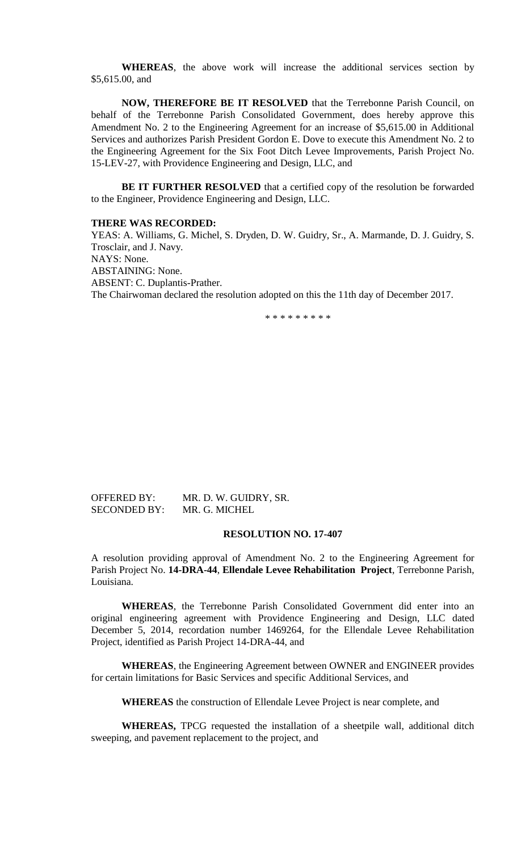**WHEREAS**, the above work will increase the additional services section by \$5,615.00, and

**NOW, THEREFORE BE IT RESOLVED** that the Terrebonne Parish Council, on behalf of the Terrebonne Parish Consolidated Government, does hereby approve this Amendment No. 2 to the Engineering Agreement for an increase of \$5,615.00 in Additional Services and authorizes Parish President Gordon E. Dove to execute this Amendment No. 2 to the Engineering Agreement for the Six Foot Ditch Levee Improvements, Parish Project No. 15-LEV-27, with Providence Engineering and Design, LLC, and

**BE IT FURTHER RESOLVED** that a certified copy of the resolution be forwarded to the Engineer, Providence Engineering and Design, LLC.

#### **THERE WAS RECORDED:**

YEAS: A. Williams, G. Michel, S. Dryden, D. W. Guidry, Sr., A. Marmande, D. J. Guidry, S. Trosclair, and J. Navy. NAYS: None. ABSTAINING: None. ABSENT: C. Duplantis-Prather. The Chairwoman declared the resolution adopted on this the 11th day of December 2017.

\* \* \* \* \* \* \* \* \*

# OFFERED BY: MR. D. W. GUIDRY, SR. SECONDED BY: MR. G. MICHEL

# **RESOLUTION NO. 17-407**

A resolution providing approval of Amendment No. 2 to the Engineering Agreement for Parish Project No. **14-DRA-44**, **Ellendale Levee Rehabilitation Project**, Terrebonne Parish, Louisiana.

**WHEREAS**, the Terrebonne Parish Consolidated Government did enter into an original engineering agreement with Providence Engineering and Design, LLC dated December 5, 2014, recordation number 1469264, for the Ellendale Levee Rehabilitation Project, identified as Parish Project 14-DRA-44, and

**WHEREAS**, the Engineering Agreement between OWNER and ENGINEER provides for certain limitations for Basic Services and specific Additional Services, and

**WHEREAS** the construction of Ellendale Levee Project is near complete, and

**WHEREAS,** TPCG requested the installation of a sheetpile wall, additional ditch sweeping, and pavement replacement to the project, and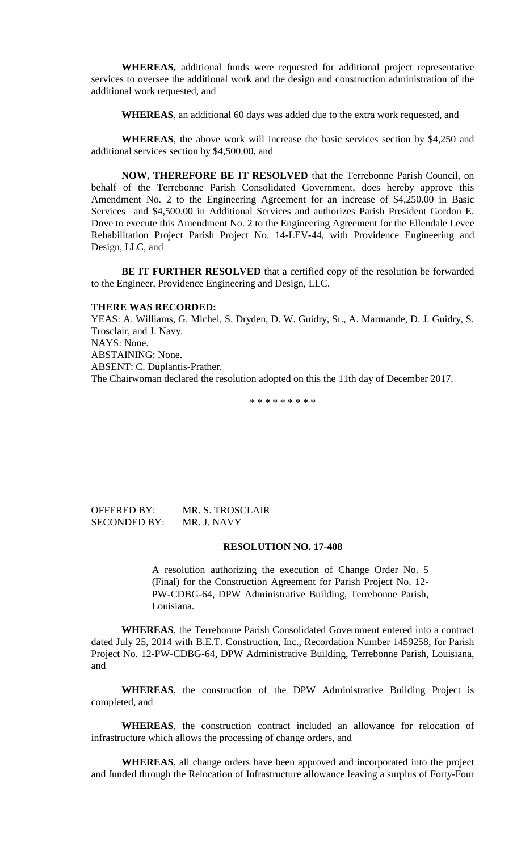**WHEREAS,** additional funds were requested for additional project representative services to oversee the additional work and the design and construction administration of the additional work requested, and

**WHEREAS**, an additional 60 days was added due to the extra work requested, and

**WHEREAS**, the above work will increase the basic services section by \$4,250 and additional services section by \$4,500.00, and

**NOW, THEREFORE BE IT RESOLVED** that the Terrebonne Parish Council, on behalf of the Terrebonne Parish Consolidated Government, does hereby approve this Amendment No. 2 to the Engineering Agreement for an increase of \$4,250.00 in Basic Services and \$4,500.00 in Additional Services and authorizes Parish President Gordon E. Dove to execute this Amendment No. 2 to the Engineering Agreement for the Ellendale Levee Rehabilitation Project Parish Project No. 14-LEV-44, with Providence Engineering and Design, LLC, and

**BE IT FURTHER RESOLVED** that a certified copy of the resolution be forwarded to the Engineer, Providence Engineering and Design, LLC.

### **THERE WAS RECORDED:**

YEAS: A. Williams, G. Michel, S. Dryden, D. W. Guidry, Sr., A. Marmande, D. J. Guidry, S. Trosclair, and J. Navy. NAYS: None. ABSTAINING: None. ABSENT: C. Duplantis-Prather. The Chairwoman declared the resolution adopted on this the 11th day of December 2017.

\* \* \* \* \* \* \* \* \*

### OFFERED BY: MR. S. TROSCLAIR SECONDED BY: MR. J. NAVY

### **RESOLUTION NO. 17-408**

A resolution authorizing the execution of Change Order No. 5 (Final) for the Construction Agreement for Parish Project No. 12- PW-CDBG-64, DPW Administrative Building, Terrebonne Parish, Louisiana.

**WHEREAS**, the Terrebonne Parish Consolidated Government entered into a contract dated July 25, 2014 with B.E.T. Construction, Inc., Recordation Number 1459258, for Parish Project No. 12-PW-CDBG-64, DPW Administrative Building, Terrebonne Parish, Louisiana, and

**WHEREAS**, the construction of the DPW Administrative Building Project is completed, and

**WHEREAS**, the construction contract included an allowance for relocation of infrastructure which allows the processing of change orders, and

**WHEREAS**, all change orders have been approved and incorporated into the project and funded through the Relocation of Infrastructure allowance leaving a surplus of Forty-Four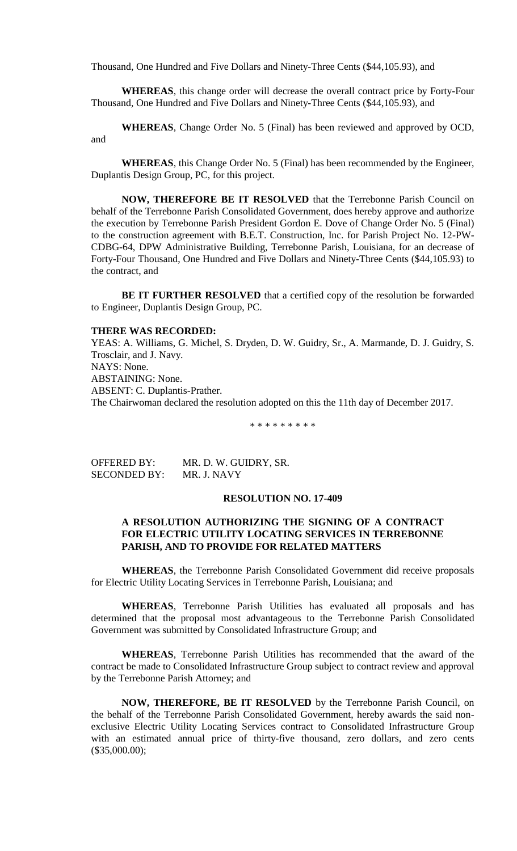Thousand, One Hundred and Five Dollars and Ninety-Three Cents (\$44,105.93), and

**WHEREAS**, this change order will decrease the overall contract price by Forty-Four Thousand, One Hundred and Five Dollars and Ninety-Three Cents (\$44,105.93), and

**WHEREAS**, Change Order No. 5 (Final) has been reviewed and approved by OCD, and

**WHEREAS**, this Change Order No. 5 (Final) has been recommended by the Engineer, Duplantis Design Group, PC, for this project.

**NOW, THEREFORE BE IT RESOLVED** that the Terrebonne Parish Council on behalf of the Terrebonne Parish Consolidated Government, does hereby approve and authorize the execution by Terrebonne Parish President Gordon E. Dove of Change Order No. 5 (Final) to the construction agreement with B.E.T. Construction, Inc. for Parish Project No. 12-PW-CDBG-64, DPW Administrative Building, Terrebonne Parish, Louisiana, for an decrease of Forty-Four Thousand, One Hundred and Five Dollars and Ninety-Three Cents (\$44,105.93) to the contract, and

**BE IT FURTHER RESOLVED** that a certified copy of the resolution be forwarded to Engineer, Duplantis Design Group, PC.

### **THERE WAS RECORDED:**

YEAS: A. Williams, G. Michel, S. Dryden, D. W. Guidry, Sr., A. Marmande, D. J. Guidry, S. Trosclair, and J. Navy. NAYS: None. ABSTAINING: None. ABSENT: C. Duplantis-Prather. The Chairwoman declared the resolution adopted on this the 11th day of December 2017.

\* \* \* \* \* \* \* \* \*

OFFERED BY: MR. D. W. GUIDRY, SR. SECONDED BY: MR. J. NAVY

### **RESOLUTION NO. 17-409**

# **A RESOLUTION AUTHORIZING THE SIGNING OF A CONTRACT FOR ELECTRIC UTILITY LOCATING SERVICES IN TERREBONNE PARISH, AND TO PROVIDE FOR RELATED MATTERS**

**WHEREAS**, the Terrebonne Parish Consolidated Government did receive proposals for Electric Utility Locating Services in Terrebonne Parish, Louisiana; and

**WHEREAS**, Terrebonne Parish Utilities has evaluated all proposals and has determined that the proposal most advantageous to the Terrebonne Parish Consolidated Government was submitted by Consolidated Infrastructure Group; and

**WHEREAS**, Terrebonne Parish Utilities has recommended that the award of the contract be made to Consolidated Infrastructure Group subject to contract review and approval by the Terrebonne Parish Attorney; and

**NOW, THEREFORE, BE IT RESOLVED** by the Terrebonne Parish Council, on the behalf of the Terrebonne Parish Consolidated Government, hereby awards the said nonexclusive Electric Utility Locating Services contract to Consolidated Infrastructure Group with an estimated annual price of thirty-five thousand, zero dollars, and zero cents (\$35,000.00);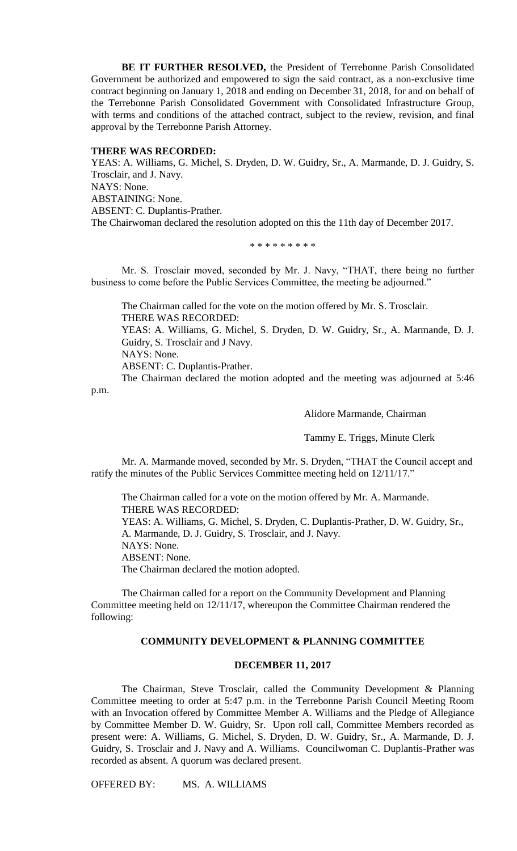**BE IT FURTHER RESOLVED,** the President of Terrebonne Parish Consolidated Government be authorized and empowered to sign the said contract, as a non-exclusive time contract beginning on January 1, 2018 and ending on December 31, 2018, for and on behalf of the Terrebonne Parish Consolidated Government with Consolidated Infrastructure Group, with terms and conditions of the attached contract, subject to the review, revision, and final approval by the Terrebonne Parish Attorney.

# **THERE WAS RECORDED:**

YEAS: A. Williams, G. Michel, S. Dryden, D. W. Guidry, Sr., A. Marmande, D. J. Guidry, S. Trosclair, and J. Navy. NAYS: None. ABSTAINING: None. ABSENT: C. Duplantis-Prather. The Chairwoman declared the resolution adopted on this the 11th day of December 2017.

\* \* \* \* \* \* \* \* \*

Mr. S. Trosclair moved, seconded by Mr. J. Navy, "THAT, there being no further business to come before the Public Services Committee, the meeting be adjourned."

The Chairman called for the vote on the motion offered by Mr. S. Trosclair. THERE WAS RECORDED: YEAS: A. Williams, G. Michel, S. Dryden, D. W. Guidry, Sr., A. Marmande, D. J. Guidry, S. Trosclair and J Navy. NAYS: None. ABSENT: C. Duplantis-Prather.

The Chairman declared the motion adopted and the meeting was adjourned at 5:46 p.m.

Alidore Marmande, Chairman

Tammy E. Triggs, Minute Clerk

Mr. A. Marmande moved, seconded by Mr. S. Dryden, "THAT the Council accept and ratify the minutes of the Public Services Committee meeting held on 12/11/17."

The Chairman called for a vote on the motion offered by Mr. A. Marmande. THERE WAS RECORDED: YEAS: A. Williams, G. Michel, S. Dryden, C. Duplantis-Prather, D. W. Guidry, Sr., A. Marmande, D. J. Guidry, S. Trosclair, and J. Navy. NAYS: None. ABSENT: None. The Chairman declared the motion adopted.

The Chairman called for a report on the Community Development and Planning Committee meeting held on 12/11/17, whereupon the Committee Chairman rendered the following:

# **COMMUNITY DEVELOPMENT & PLANNING COMMITTEE**

### **DECEMBER 11, 2017**

The Chairman, Steve Trosclair, called the Community Development & Planning Committee meeting to order at 5:47 p.m. in the Terrebonne Parish Council Meeting Room with an Invocation offered by Committee Member A. Williams and the Pledge of Allegiance by Committee Member D. W. Guidry, Sr. Upon roll call, Committee Members recorded as present were: A. Williams, G. Michel, S. Dryden, D. W. Guidry, Sr., A. Marmande, D. J. Guidry, S. Trosclair and J. Navy and A. Williams. Councilwoman C. Duplantis-Prather was recorded as absent. A quorum was declared present.

OFFERED BY: MS. A. WILLIAMS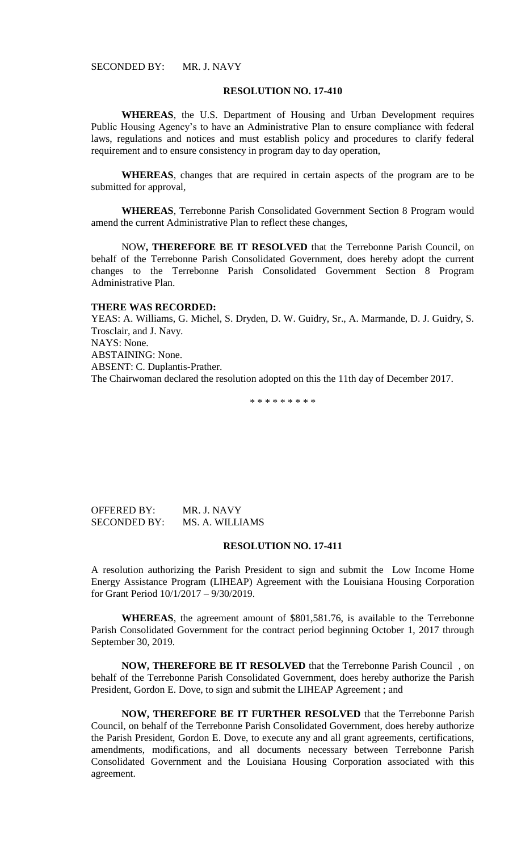#### **RESOLUTION NO. 17-410**

**WHEREAS**, the U.S. Department of Housing and Urban Development requires Public Housing Agency's to have an Administrative Plan to ensure compliance with federal laws, regulations and notices and must establish policy and procedures to clarify federal requirement and to ensure consistency in program day to day operation,

**WHEREAS**, changes that are required in certain aspects of the program are to be submitted for approval,

**WHEREAS**, Terrebonne Parish Consolidated Government Section 8 Program would amend the current Administrative Plan to reflect these changes,

NOW**, THEREFORE BE IT RESOLVED** that the Terrebonne Parish Council, on behalf of the Terrebonne Parish Consolidated Government, does hereby adopt the current changes to the Terrebonne Parish Consolidated Government Section 8 Program Administrative Plan.

#### **THERE WAS RECORDED:**

YEAS: A. Williams, G. Michel, S. Dryden, D. W. Guidry, Sr., A. Marmande, D. J. Guidry, S. Trosclair, and J. Navy. NAYS: None. ABSTAINING: None. ABSENT: C. Duplantis-Prather. The Chairwoman declared the resolution adopted on this the 11th day of December 2017.

\* \* \* \* \* \* \* \* \*

OFFERED BY: MR. J. NAVY SECONDED BY: MS. A. WILLIAMS

### **RESOLUTION NO. 17-411**

A resolution authorizing the Parish President to sign and submit the Low Income Home Energy Assistance Program (LIHEAP) Agreement with the Louisiana Housing Corporation for Grant Period 10/1/2017 – 9/30/2019.

**WHEREAS**, the agreement amount of \$801,581.76, is available to the Terrebonne Parish Consolidated Government for the contract period beginning October 1, 2017 through September 30, 2019.

**NOW, THEREFORE BE IT RESOLVED** that the Terrebonne Parish Council , on behalf of the Terrebonne Parish Consolidated Government, does hereby authorize the Parish President, Gordon E. Dove, to sign and submit the LIHEAP Agreement ; and

**NOW, THEREFORE BE IT FURTHER RESOLVED** that the Terrebonne Parish Council, on behalf of the Terrebonne Parish Consolidated Government, does hereby authorize the Parish President, Gordon E. Dove, to execute any and all grant agreements, certifications, amendments, modifications, and all documents necessary between Terrebonne Parish Consolidated Government and the Louisiana Housing Corporation associated with this agreement.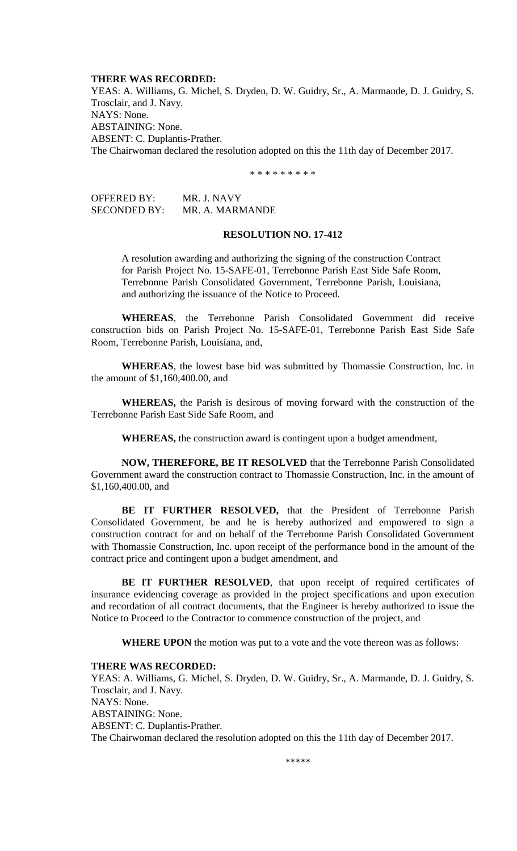#### **THERE WAS RECORDED:**

YEAS: A. Williams, G. Michel, S. Dryden, D. W. Guidry, Sr., A. Marmande, D. J. Guidry, S. Trosclair, and J. Navy. NAYS: None. ABSTAINING: None. ABSENT: C. Duplantis-Prather. The Chairwoman declared the resolution adopted on this the 11th day of December 2017.

\* \* \* \* \* \* \* \* \*

| <b>OFFERED BY:</b> | MR. J. NAVY     |
|--------------------|-----------------|
| SECONDED BY:       | MR. A. MARMANDE |

## **RESOLUTION NO. 17-412**

A resolution awarding and authorizing the signing of the construction Contract for Parish Project No. 15-SAFE-01, Terrebonne Parish East Side Safe Room, Terrebonne Parish Consolidated Government, Terrebonne Parish, Louisiana, and authorizing the issuance of the Notice to Proceed.

**WHEREAS**, the Terrebonne Parish Consolidated Government did receive construction bids on Parish Project No. 15-SAFE-01, Terrebonne Parish East Side Safe Room, Terrebonne Parish, Louisiana, and,

**WHEREAS**, the lowest base bid was submitted by Thomassie Construction, Inc. in the amount of \$1,160,400.00, and

**WHEREAS,** the Parish is desirous of moving forward with the construction of the Terrebonne Parish East Side Safe Room, and

**WHEREAS,** the construction award is contingent upon a budget amendment,

**NOW, THEREFORE, BE IT RESOLVED** that the Terrebonne Parish Consolidated Government award the construction contract to Thomassie Construction, Inc. in the amount of \$1,160,400.00, and

**BE IT FURTHER RESOLVED,** that the President of Terrebonne Parish Consolidated Government, be and he is hereby authorized and empowered to sign a construction contract for and on behalf of the Terrebonne Parish Consolidated Government with Thomassie Construction, Inc. upon receipt of the performance bond in the amount of the contract price and contingent upon a budget amendment, and

BE IT FURTHER RESOLVED, that upon receipt of required certificates of insurance evidencing coverage as provided in the project specifications and upon execution and recordation of all contract documents, that the Engineer is hereby authorized to issue the Notice to Proceed to the Contractor to commence construction of the project, and

**WHERE UPON** the motion was put to a vote and the vote thereon was as follows:

#### **THERE WAS RECORDED:**

YEAS: A. Williams, G. Michel, S. Dryden, D. W. Guidry, Sr., A. Marmande, D. J. Guidry, S. Trosclair, and J. Navy. NAYS: None. ABSTAINING: None. ABSENT: C. Duplantis-Prather. The Chairwoman declared the resolution adopted on this the 11th day of December 2017.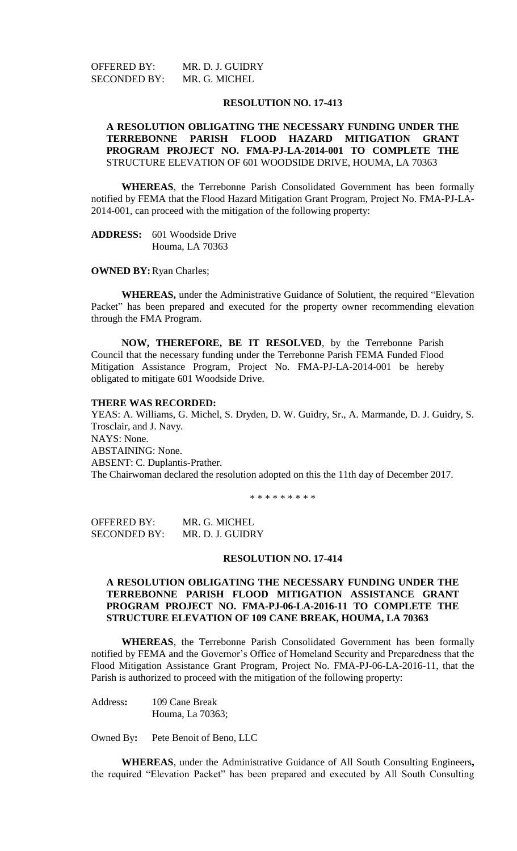OFFERED BY: MR. D. J. GUIDRY SECONDED BY: MR. G. MICHEL

#### **RESOLUTION NO. 17-413**

## **A RESOLUTION OBLIGATING THE NECESSARY FUNDING UNDER THE TERREBONNE PARISH FLOOD HAZARD MITIGATION GRANT PROGRAM PROJECT NO. FMA-PJ-LA-2014-001 TO COMPLETE THE** STRUCTURE ELEVATION OF 601 WOODSIDE DRIVE, HOUMA, LA 70363

**WHEREAS**, the Terrebonne Parish Consolidated Government has been formally notified by FEMA that the Flood Hazard Mitigation Grant Program, Project No. FMA-PJ-LA-2014-001, can proceed with the mitigation of the following property:

**ADDRESS:** 601 Woodside Drive Houma, LA 70363

**OWNED BY: Ryan Charles;** 

**WHEREAS,** under the Administrative Guidance of Solutient, the required "Elevation Packet" has been prepared and executed for the property owner recommending elevation through the FMA Program.

**NOW, THEREFORE, BE IT RESOLVED**, by the Terrebonne Parish Council that the necessary funding under the Terrebonne Parish FEMA Funded Flood Mitigation Assistance Program, Project No. FMA-PJ-LA-2014-001 be hereby obligated to mitigate 601 Woodside Drive.

#### **THERE WAS RECORDED:**

YEAS: A. Williams, G. Michel, S. Dryden, D. W. Guidry, Sr., A. Marmande, D. J. Guidry, S. Trosclair, and J. Navy. NAYS: None. ABSTAINING: None. ABSENT: C. Duplantis-Prather. The Chairwoman declared the resolution adopted on this the 11th day of December 2017.

\* \* \* \* \* \* \* \* \*

OFFERED BY: MR. G. MICHEL SECONDED BY: MR. D. J. GUIDRY

#### **RESOLUTION NO. 17-414**

# **A RESOLUTION OBLIGATING THE NECESSARY FUNDING UNDER THE TERREBONNE PARISH FLOOD MITIGATION ASSISTANCE GRANT PROGRAM PROJECT NO. FMA-PJ-06-LA-2016-11 TO COMPLETE THE STRUCTURE ELEVATION OF 109 CANE BREAK, HOUMA, LA 70363**

**WHEREAS**, the Terrebonne Parish Consolidated Government has been formally notified by FEMA and the Governor's Office of Homeland Security and Preparedness that the Flood Mitigation Assistance Grant Program, Project No. FMA-PJ-06-LA-2016-11, that the Parish is authorized to proceed with the mitigation of the following property:

Address**:** 109 Cane Break Houma, La 70363;

Owned By**:** Pete Benoit of Beno, LLC

**WHEREAS**, under the Administrative Guidance of All South Consulting Engineers**,**  the required "Elevation Packet" has been prepared and executed by All South Consulting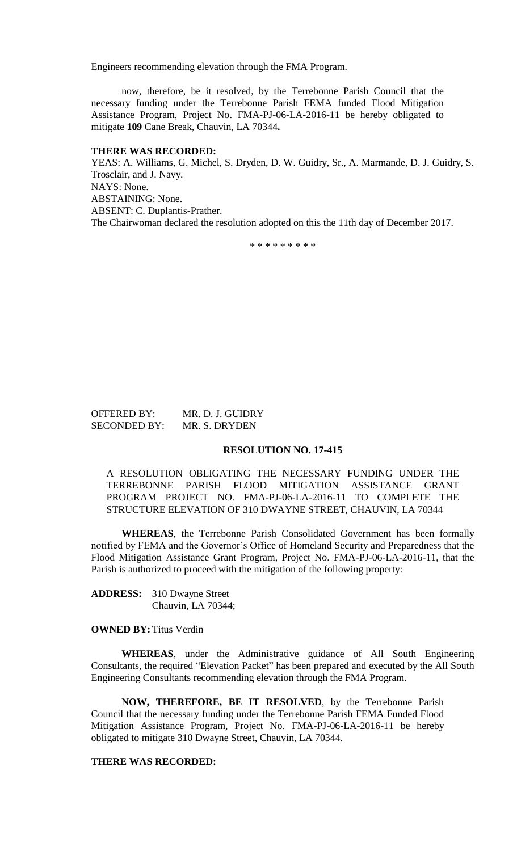Engineers recommending elevation through the FMA Program.

now, therefore, be it resolved, by the Terrebonne Parish Council that the necessary funding under the Terrebonne Parish FEMA funded Flood Mitigation Assistance Program, Project No. FMA-PJ-06-LA-2016-11 be hereby obligated to mitigate **109** Cane Break, Chauvin, LA 70344**.**

#### **THERE WAS RECORDED:**

YEAS: A. Williams, G. Michel, S. Dryden, D. W. Guidry, Sr., A. Marmande, D. J. Guidry, S. Trosclair, and J. Navy. NAYS: None. ABSTAINING: None. ABSENT: C. Duplantis-Prather. The Chairwoman declared the resolution adopted on this the 11th day of December 2017.

\* \* \* \* \* \* \* \* \*

| <b>OFFERED BY:</b>  | MR. D. J. GUIDRY |
|---------------------|------------------|
| <b>SECONDED BY:</b> | MR. S. DRYDEN    |

#### **RESOLUTION NO. 17-415**

A RESOLUTION OBLIGATING THE NECESSARY FUNDING UNDER THE TERREBONNE PARISH FLOOD MITIGATION ASSISTANCE GRANT PROGRAM PROJECT NO. FMA-PJ-06-LA-2016-11 TO COMPLETE THE STRUCTURE ELEVATION OF 310 DWAYNE STREET, CHAUVIN, LA 70344

**WHEREAS**, the Terrebonne Parish Consolidated Government has been formally notified by FEMA and the Governor's Office of Homeland Security and Preparedness that the Flood Mitigation Assistance Grant Program, Project No. FMA-PJ-06-LA-2016-11, that the Parish is authorized to proceed with the mitigation of the following property:

**ADDRESS:** 310 Dwayne Street Chauvin, LA 70344;

**OWNED BY:**Titus Verdin

**WHEREAS**, under the Administrative guidance of All South Engineering Consultants, the required "Elevation Packet" has been prepared and executed by the All South Engineering Consultants recommending elevation through the FMA Program.

**NOW, THEREFORE, BE IT RESOLVED**, by the Terrebonne Parish Council that the necessary funding under the Terrebonne Parish FEMA Funded Flood Mitigation Assistance Program, Project No. FMA-PJ-06-LA-2016-11 be hereby obligated to mitigate 310 Dwayne Street, Chauvin, LA 70344.

#### **THERE WAS RECORDED:**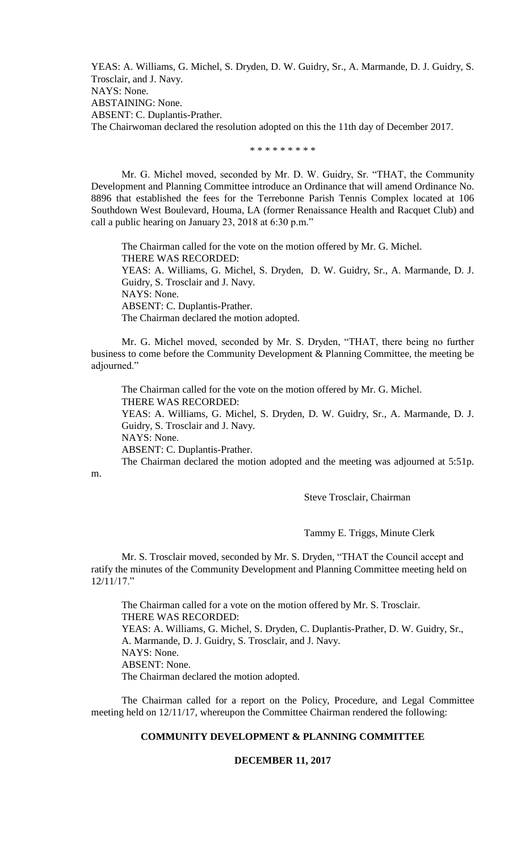YEAS: A. Williams, G. Michel, S. Dryden, D. W. Guidry, Sr., A. Marmande, D. J. Guidry, S. Trosclair, and J. Navy. NAYS: None. ABSTAINING: None. ABSENT: C. Duplantis-Prather. The Chairwoman declared the resolution adopted on this the 11th day of December 2017.

\* \* \* \* \* \* \* \* \*

Mr. G. Michel moved, seconded by Mr. D. W. Guidry, Sr. "THAT, the Community Development and Planning Committee introduce an Ordinance that will amend Ordinance No. 8896 that established the fees for the Terrebonne Parish Tennis Complex located at 106 Southdown West Boulevard, Houma, LA (former Renaissance Health and Racquet Club) and call a public hearing on January 23, 2018 at 6:30 p.m."

The Chairman called for the vote on the motion offered by Mr. G. Michel. THERE WAS RECORDED: YEAS: A. Williams, G. Michel, S. Dryden, D. W. Guidry, Sr., A. Marmande, D. J. Guidry, S. Trosclair and J. Navy. NAYS: None. ABSENT: C. Duplantis-Prather. The Chairman declared the motion adopted.

Mr. G. Michel moved, seconded by Mr. S. Dryden, "THAT, there being no further business to come before the Community Development & Planning Committee, the meeting be adjourned."

The Chairman called for the vote on the motion offered by Mr. G. Michel. THERE WAS RECORDED: YEAS: A. Williams, G. Michel, S. Dryden, D. W. Guidry, Sr., A. Marmande, D. J. Guidry, S. Trosclair and J. Navy. NAYS: None. ABSENT: C. Duplantis-Prather. The Chairman declared the motion adopted and the meeting was adjourned at 5:51p.

m.

Steve Trosclair, Chairman

Tammy E. Triggs, Minute Clerk

Mr. S. Trosclair moved, seconded by Mr. S. Dryden, "THAT the Council accept and ratify the minutes of the Community Development and Planning Committee meeting held on 12/11/17."

The Chairman called for a vote on the motion offered by Mr. S. Trosclair. THERE WAS RECORDED: YEAS: A. Williams, G. Michel, S. Dryden, C. Duplantis-Prather, D. W. Guidry, Sr., A. Marmande, D. J. Guidry, S. Trosclair, and J. Navy. NAYS: None. ABSENT: None. The Chairman declared the motion adopted.

The Chairman called for a report on the Policy, Procedure, and Legal Committee meeting held on 12/11/17, whereupon the Committee Chairman rendered the following:

### **COMMUNITY DEVELOPMENT & PLANNING COMMITTEE**

## **DECEMBER 11, 2017**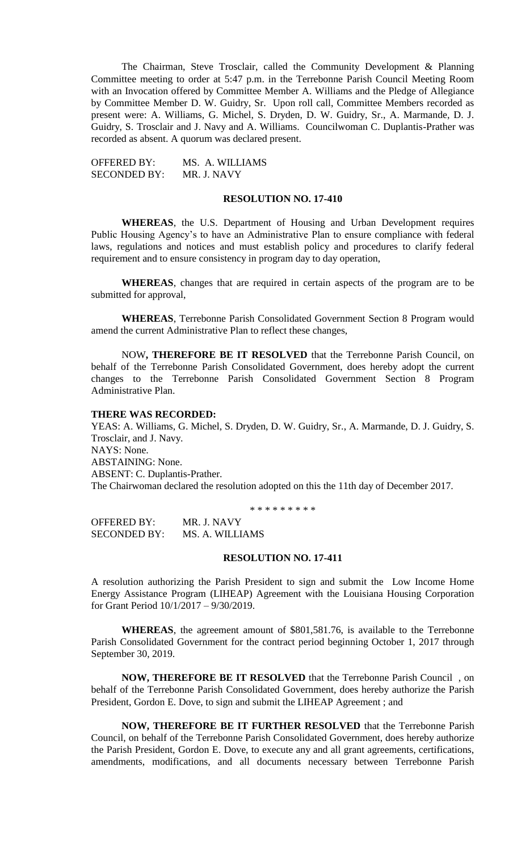The Chairman, Steve Trosclair, called the Community Development & Planning Committee meeting to order at 5:47 p.m. in the Terrebonne Parish Council Meeting Room with an Invocation offered by Committee Member A. Williams and the Pledge of Allegiance by Committee Member D. W. Guidry, Sr. Upon roll call, Committee Members recorded as present were: A. Williams, G. Michel, S. Dryden, D. W. Guidry, Sr., A. Marmande, D. J. Guidry, S. Trosclair and J. Navy and A. Williams. Councilwoman C. Duplantis-Prather was recorded as absent. A quorum was declared present.

OFFERED BY: MS. A. WILLIAMS SECONDED BY: MR. J. NAVY

### **RESOLUTION NO. 17-410**

**WHEREAS**, the U.S. Department of Housing and Urban Development requires Public Housing Agency's to have an Administrative Plan to ensure compliance with federal laws, regulations and notices and must establish policy and procedures to clarify federal requirement and to ensure consistency in program day to day operation,

**WHEREAS**, changes that are required in certain aspects of the program are to be submitted for approval,

**WHEREAS**, Terrebonne Parish Consolidated Government Section 8 Program would amend the current Administrative Plan to reflect these changes,

NOW**, THEREFORE BE IT RESOLVED** that the Terrebonne Parish Council, on behalf of the Terrebonne Parish Consolidated Government, does hereby adopt the current changes to the Terrebonne Parish Consolidated Government Section 8 Program Administrative Plan.

#### **THERE WAS RECORDED:**

YEAS: A. Williams, G. Michel, S. Dryden, D. W. Guidry, Sr., A. Marmande, D. J. Guidry, S. Trosclair, and J. Navy. NAYS: None. ABSTAINING: None. ABSENT: C. Duplantis-Prather. The Chairwoman declared the resolution adopted on this the 11th day of December 2017.

\* \* \* \* \* \* \* \* \*

OFFERED BY: MR. J. NAVY SECONDED BY: MS. A. WILLIAMS

#### **RESOLUTION NO. 17-411**

A resolution authorizing the Parish President to sign and submit the Low Income Home Energy Assistance Program (LIHEAP) Agreement with the Louisiana Housing Corporation for Grant Period 10/1/2017 – 9/30/2019.

**WHEREAS**, the agreement amount of \$801,581.76, is available to the Terrebonne Parish Consolidated Government for the contract period beginning October 1, 2017 through September 30, 2019.

**NOW, THEREFORE BE IT RESOLVED** that the Terrebonne Parish Council , on behalf of the Terrebonne Parish Consolidated Government, does hereby authorize the Parish President, Gordon E. Dove, to sign and submit the LIHEAP Agreement ; and

**NOW, THEREFORE BE IT FURTHER RESOLVED** that the Terrebonne Parish Council, on behalf of the Terrebonne Parish Consolidated Government, does hereby authorize the Parish President, Gordon E. Dove, to execute any and all grant agreements, certifications, amendments, modifications, and all documents necessary between Terrebonne Parish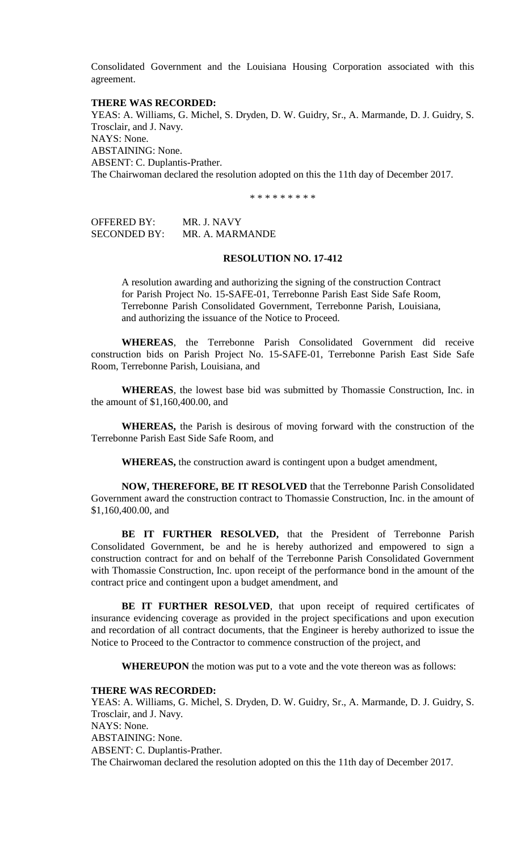Consolidated Government and the Louisiana Housing Corporation associated with this agreement.

#### **THERE WAS RECORDED:**

YEAS: A. Williams, G. Michel, S. Dryden, D. W. Guidry, Sr., A. Marmande, D. J. Guidry, S. Trosclair, and J. Navy. NAYS: None. ABSTAINING: None. ABSENT: C. Duplantis-Prather. The Chairwoman declared the resolution adopted on this the 11th day of December 2017.

\* \* \* \* \* \* \* \* \*

OFFERED BY: MR. J. NAVY SECONDED BY: MR. A. MARMANDE

### **RESOLUTION NO. 17-412**

A resolution awarding and authorizing the signing of the construction Contract for Parish Project No. 15-SAFE-01, Terrebonne Parish East Side Safe Room, Terrebonne Parish Consolidated Government, Terrebonne Parish, Louisiana, and authorizing the issuance of the Notice to Proceed.

**WHEREAS**, the Terrebonne Parish Consolidated Government did receive construction bids on Parish Project No. 15-SAFE-01, Terrebonne Parish East Side Safe Room, Terrebonne Parish, Louisiana, and

**WHEREAS**, the lowest base bid was submitted by Thomassie Construction, Inc. in the amount of \$1,160,400.00, and

**WHEREAS,** the Parish is desirous of moving forward with the construction of the Terrebonne Parish East Side Safe Room, and

**WHEREAS,** the construction award is contingent upon a budget amendment,

**NOW, THEREFORE, BE IT RESOLVED** that the Terrebonne Parish Consolidated Government award the construction contract to Thomassie Construction, Inc. in the amount of \$1,160,400.00, and

**BE IT FURTHER RESOLVED,** that the President of Terrebonne Parish Consolidated Government, be and he is hereby authorized and empowered to sign a construction contract for and on behalf of the Terrebonne Parish Consolidated Government with Thomassie Construction, Inc. upon receipt of the performance bond in the amount of the contract price and contingent upon a budget amendment, and

BE IT FURTHER RESOLVED, that upon receipt of required certificates of insurance evidencing coverage as provided in the project specifications and upon execution and recordation of all contract documents, that the Engineer is hereby authorized to issue the Notice to Proceed to the Contractor to commence construction of the project, and

**WHEREUPON** the motion was put to a vote and the vote thereon was as follows:

#### **THERE WAS RECORDED:**

YEAS: A. Williams, G. Michel, S. Dryden, D. W. Guidry, Sr., A. Marmande, D. J. Guidry, S. Trosclair, and J. Navy. NAYS: None. ABSTAINING: None. ABSENT: C. Duplantis-Prather. The Chairwoman declared the resolution adopted on this the 11th day of December 2017.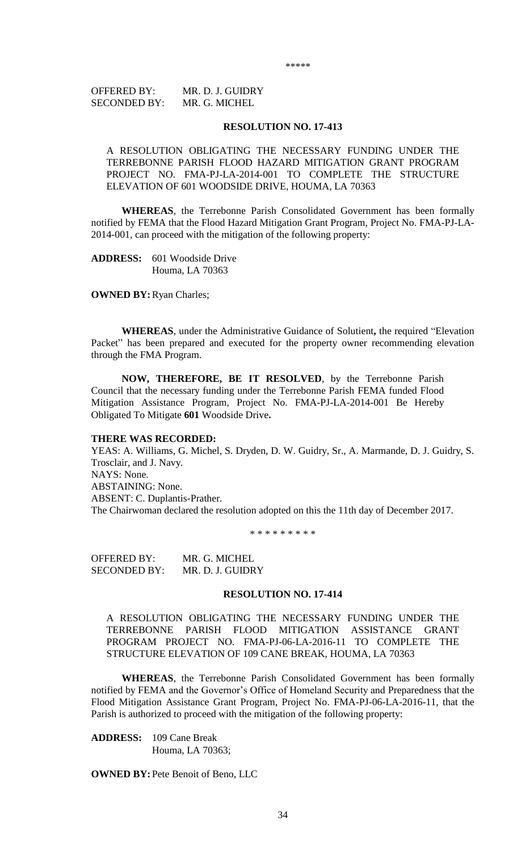\*\*\*\*\*

OFFERED BY: MR. D. J. GUIDRY SECONDED BY: MR. G. MICHEL

### **RESOLUTION NO. 17-413**

A RESOLUTION OBLIGATING THE NECESSARY FUNDING UNDER THE TERREBONNE PARISH FLOOD HAZARD MITIGATION GRANT PROGRAM PROJECT NO. FMA-PJ-LA-2014-001 TO COMPLETE THE STRUCTURE ELEVATION OF 601 WOODSIDE DRIVE, HOUMA, LA 70363

**WHEREAS**, the Terrebonne Parish Consolidated Government has been formally notified by FEMA that the Flood Hazard Mitigation Grant Program, Project No. FMA-PJ-LA-2014-001, can proceed with the mitigation of the following property:

**ADDRESS:** 601 Woodside Drive Houma, LA 70363

**OWNED BY: Ryan Charles;** 

**WHEREAS**, under the Administrative Guidance of Solutient**,** the required "Elevation Packet" has been prepared and executed for the property owner recommending elevation through the FMA Program.

**NOW, THEREFORE, BE IT RESOLVED**, by the Terrebonne Parish Council that the necessary funding under the Terrebonne Parish FEMA funded Flood Mitigation Assistance Program, Project No. FMA-PJ-LA-2014-001 Be Hereby Obligated To Mitigate **601** Woodside Drive**.**

#### **THERE WAS RECORDED:**

YEAS: A. Williams, G. Michel, S. Dryden, D. W. Guidry, Sr., A. Marmande, D. J. Guidry, S. Trosclair, and J. Navy. NAYS: None. ABSTAINING: None. ABSENT: C. Duplantis-Prather. The Chairwoman declared the resolution adopted on this the 11th day of December 2017.

\* \* \* \* \* \* \* \* \*

OFFERED BY: MR. G. MICHEL SECONDED BY: MR. D. J. GUIDRY

#### **RESOLUTION NO. 17-414**

A RESOLUTION OBLIGATING THE NECESSARY FUNDING UNDER THE TERREBONNE PARISH FLOOD MITIGATION ASSISTANCE GRANT PROGRAM PROJECT NO. FMA-PJ-06-LA-2016-11 TO COMPLETE THE STRUCTURE ELEVATION OF 109 CANE BREAK, HOUMA, LA 70363

**WHEREAS**, the Terrebonne Parish Consolidated Government has been formally notified by FEMA and the Governor's Office of Homeland Security and Preparedness that the Flood Mitigation Assistance Grant Program, Project No. FMA-PJ-06-LA-2016-11, that the Parish is authorized to proceed with the mitigation of the following property:

**ADDRESS:** 109 Cane Break Houma, LA 70363;

**OWNED BY:**Pete Benoit of Beno, LLC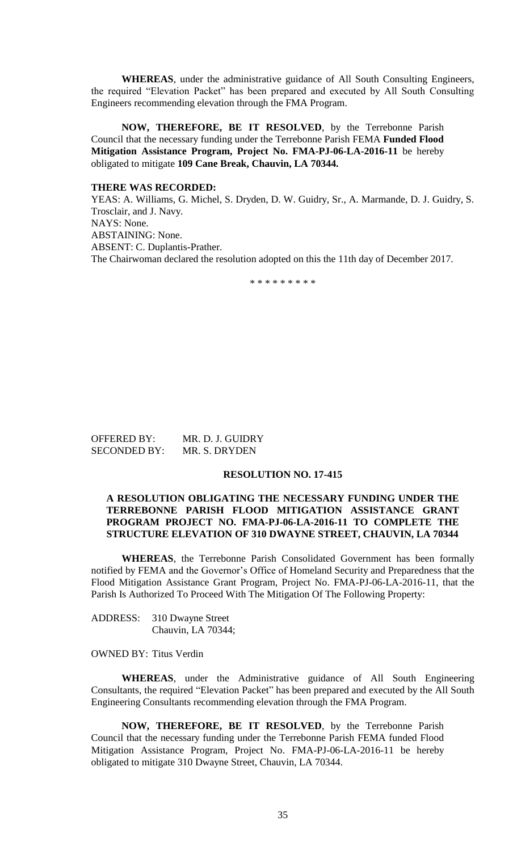**WHEREAS**, under the administrative guidance of All South Consulting Engineers, the required "Elevation Packet" has been prepared and executed by All South Consulting Engineers recommending elevation through the FMA Program.

**NOW, THEREFORE, BE IT RESOLVED**, by the Terrebonne Parish Council that the necessary funding under the Terrebonne Parish FEMA **Funded Flood Mitigation Assistance Program, Project No. FMA-PJ-06-LA-2016-11** be hereby obligated to mitigate **109 Cane Break, Chauvin, LA 70344.**

# **THERE WAS RECORDED:**

YEAS: A. Williams, G. Michel, S. Dryden, D. W. Guidry, Sr., A. Marmande, D. J. Guidry, S. Trosclair, and J. Navy. NAYS: None. ABSTAINING: None. ABSENT: C. Duplantis-Prather. The Chairwoman declared the resolution adopted on this the 11th day of December 2017.

\* \* \* \* \* \* \* \* \*

OFFERED BY: MR. D. J. GUIDRY SECONDED BY: MR. S. DRYDEN

#### **RESOLUTION NO. 17-415**

# **A RESOLUTION OBLIGATING THE NECESSARY FUNDING UNDER THE TERREBONNE PARISH FLOOD MITIGATION ASSISTANCE GRANT PROGRAM PROJECT NO. FMA-PJ-06-LA-2016-11 TO COMPLETE THE STRUCTURE ELEVATION OF 310 DWAYNE STREET, CHAUVIN, LA 70344**

**WHEREAS**, the Terrebonne Parish Consolidated Government has been formally notified by FEMA and the Governor's Office of Homeland Security and Preparedness that the Flood Mitigation Assistance Grant Program, Project No. FMA-PJ-06-LA-2016-11, that the Parish Is Authorized To Proceed With The Mitigation Of The Following Property:

ADDRESS: 310 Dwayne Street Chauvin, LA 70344;

### OWNED BY: Titus Verdin

**WHEREAS**, under the Administrative guidance of All South Engineering Consultants, the required "Elevation Packet" has been prepared and executed by the All South Engineering Consultants recommending elevation through the FMA Program.

**NOW, THEREFORE, BE IT RESOLVED**, by the Terrebonne Parish Council that the necessary funding under the Terrebonne Parish FEMA funded Flood Mitigation Assistance Program, Project No. FMA-PJ-06-LA-2016-11 be hereby obligated to mitigate 310 Dwayne Street, Chauvin, LA 70344.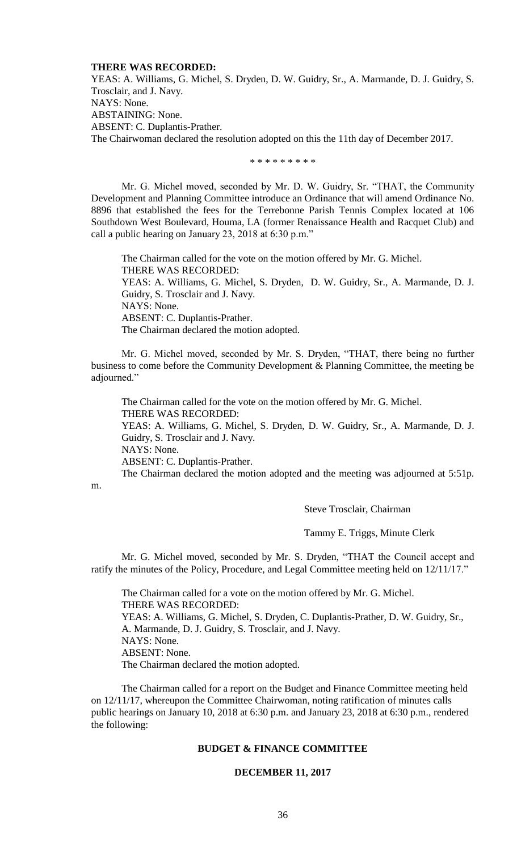#### **THERE WAS RECORDED:**

YEAS: A. Williams, G. Michel, S. Dryden, D. W. Guidry, Sr., A. Marmande, D. J. Guidry, S. Trosclair, and J. Navy. NAYS: None. ABSTAINING: None. ABSENT: C. Duplantis-Prather. The Chairwoman declared the resolution adopted on this the 11th day of December 2017.

\* \* \* \* \* \* \* \* \*

Mr. G. Michel moved, seconded by Mr. D. W. Guidry, Sr. "THAT, the Community Development and Planning Committee introduce an Ordinance that will amend Ordinance No. 8896 that established the fees for the Terrebonne Parish Tennis Complex located at 106 Southdown West Boulevard, Houma, LA (former Renaissance Health and Racquet Club) and call a public hearing on January 23, 2018 at 6:30 p.m."

The Chairman called for the vote on the motion offered by Mr. G. Michel. THERE WAS RECORDED: YEAS: A. Williams, G. Michel, S. Dryden, D. W. Guidry, Sr., A. Marmande, D. J. Guidry, S. Trosclair and J. Navy. NAYS: None. ABSENT: C. Duplantis-Prather. The Chairman declared the motion adopted.

Mr. G. Michel moved, seconded by Mr. S. Dryden, "THAT, there being no further business to come before the Community Development & Planning Committee, the meeting be adjourned."

The Chairman called for the vote on the motion offered by Mr. G. Michel. THERE WAS RECORDED: YEAS: A. Williams, G. Michel, S. Dryden, D. W. Guidry, Sr., A. Marmande, D. J. Guidry, S. Trosclair and J. Navy. NAYS: None. ABSENT: C. Duplantis-Prather. The Chairman declared the motion adopted and the meeting was adjourned at 5:51p.

m.

Steve Trosclair, Chairman

Tammy E. Triggs, Minute Clerk

Mr. G. Michel moved, seconded by Mr. S. Dryden, "THAT the Council accept and ratify the minutes of the Policy, Procedure, and Legal Committee meeting held on 12/11/17."

The Chairman called for a vote on the motion offered by Mr. G. Michel. THERE WAS RECORDED: YEAS: A. Williams, G. Michel, S. Dryden, C. Duplantis-Prather, D. W. Guidry, Sr., A. Marmande, D. J. Guidry, S. Trosclair, and J. Navy. NAYS: None. ABSENT: None. The Chairman declared the motion adopted.

The Chairman called for a report on the Budget and Finance Committee meeting held on 12/11/17, whereupon the Committee Chairwoman, noting ratification of minutes calls public hearings on January 10, 2018 at 6:30 p.m. and January 23, 2018 at 6:30 p.m., rendered the following:

### **BUDGET & FINANCE COMMITTEE**

#### **DECEMBER 11, 2017**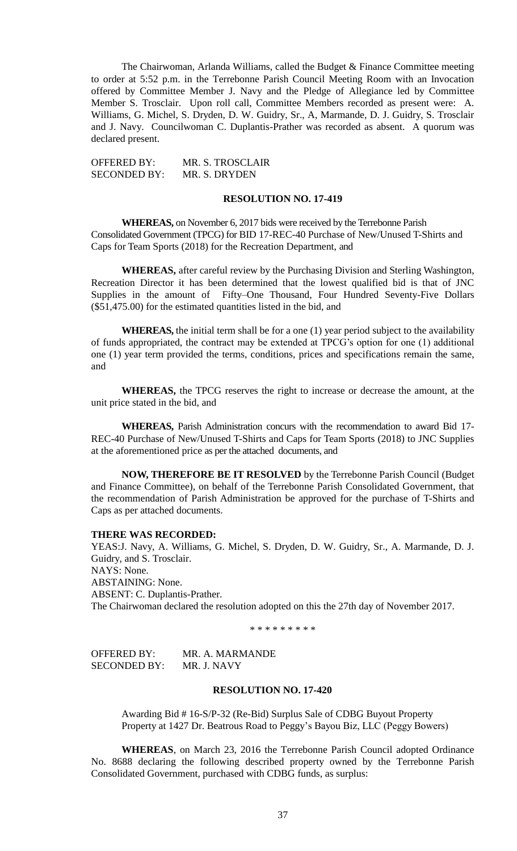The Chairwoman, Arlanda Williams, called the Budget & Finance Committee meeting to order at 5:52 p.m. in the Terrebonne Parish Council Meeting Room with an Invocation offered by Committee Member J. Navy and the Pledge of Allegiance led by Committee Member S. Trosclair. Upon roll call, Committee Members recorded as present were: A. Williams, G. Michel, S. Dryden, D. W. Guidry, Sr., A, Marmande, D. J. Guidry, S. Trosclair and J. Navy. Councilwoman C. Duplantis-Prather was recorded as absent. A quorum was declared present.

OFFERED BY: MR. S. TROSCLAIR SECONDED BY: MR. S. DRYDEN

### **RESOLUTION NO. 17-419**

**WHEREAS,** on November 6, 2017 bids were received by the Terrebonne Parish Consolidated Government (TPCG) for BID 17-REC-40 Purchase of New/Unused T-Shirts and Caps for Team Sports (2018) for the Recreation Department, and

**WHEREAS,** after careful review by the Purchasing Division and Sterling Washington, Recreation Director it has been determined that the lowest qualified bid is that of JNC Supplies in the amount of Fifty–One Thousand, Four Hundred Seventy-Five Dollars (\$51,475.00) for the estimated quantities listed in the bid, and

**WHEREAS,** the initial term shall be for a one (1) year period subject to the availability of funds appropriated, the contract may be extended at TPCG's option for one (1) additional one (1) year term provided the terms, conditions, prices and specifications remain the same, and

**WHEREAS,** the TPCG reserves the right to increase or decrease the amount, at the unit price stated in the bid, and

**WHEREAS,** Parish Administration concurs with the recommendation to award Bid 17- REC-40 Purchase of New/Unused T-Shirts and Caps for Team Sports (2018) to JNC Supplies at the aforementioned price as per the attached documents, and

**NOW, THEREFORE BE IT RESOLVED** by the Terrebonne Parish Council (Budget and Finance Committee), on behalf of the Terrebonne Parish Consolidated Government, that the recommendation of Parish Administration be approved for the purchase of T-Shirts and Caps as per attached documents.

### **THERE WAS RECORDED:**

YEAS:J. Navy, A. Williams, G. Michel, S. Dryden, D. W. Guidry, Sr., A. Marmande, D. J. Guidry, and S. Trosclair. NAYS: None. ABSTAINING: None. ABSENT: C. Duplantis-Prather. The Chairwoman declared the resolution adopted on this the 27th day of November 2017.

\* \* \* \* \* \* \* \* \*

OFFERED BY: MR. A. MARMANDE SECONDED BY: MR. J. NAVY

# **RESOLUTION NO. 17-420**

Awarding Bid # 16-S/P-32 (Re-Bid) Surplus Sale of CDBG Buyout Property Property at 1427 Dr. Beatrous Road to Peggy's Bayou Biz, LLC (Peggy Bowers)

**WHEREAS**, on March 23, 2016 the Terrebonne Parish Council adopted Ordinance No. 8688 declaring the following described property owned by the Terrebonne Parish Consolidated Government, purchased with CDBG funds, as surplus: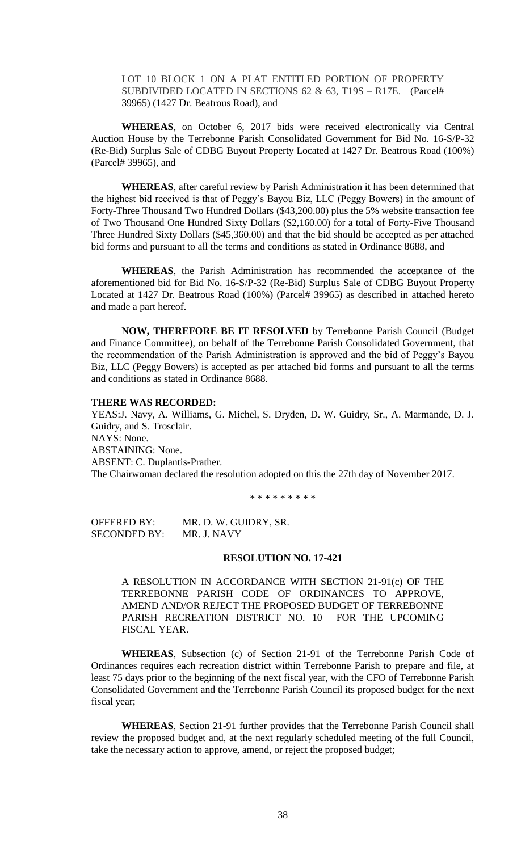LOT 10 BLOCK 1 ON A PLAT ENTITLED PORTION OF PROPERTY SUBDIVIDED LOCATED IN SECTIONS 62 & 63, T19S – R17E. (Parcel# 39965) (1427 Dr. Beatrous Road), and

**WHEREAS**, on October 6, 2017 bids were received electronically via Central Auction House by the Terrebonne Parish Consolidated Government for Bid No. 16-S/P-32 (Re-Bid) Surplus Sale of CDBG Buyout Property Located at 1427 Dr. Beatrous Road (100%) (Parcel# 39965), and

**WHEREAS**, after careful review by Parish Administration it has been determined that the highest bid received is that of Peggy's Bayou Biz, LLC (Peggy Bowers) in the amount of Forty-Three Thousand Two Hundred Dollars (\$43,200.00) plus the 5% website transaction fee of Two Thousand One Hundred Sixty Dollars (\$2,160.00) for a total of Forty-Five Thousand Three Hundred Sixty Dollars (\$45,360.00) and that the bid should be accepted as per attached bid forms and pursuant to all the terms and conditions as stated in Ordinance 8688, and

**WHEREAS**, the Parish Administration has recommended the acceptance of the aforementioned bid for Bid No. 16-S/P-32 (Re-Bid) Surplus Sale of CDBG Buyout Property Located at 1427 Dr. Beatrous Road (100%) (Parcel# 39965) as described in attached hereto and made a part hereof.

**NOW, THEREFORE BE IT RESOLVED** by Terrebonne Parish Council (Budget and Finance Committee), on behalf of the Terrebonne Parish Consolidated Government, that the recommendation of the Parish Administration is approved and the bid of Peggy's Bayou Biz, LLC (Peggy Bowers) is accepted as per attached bid forms and pursuant to all the terms and conditions as stated in Ordinance 8688.

#### **THERE WAS RECORDED:**

YEAS:J. Navy, A. Williams, G. Michel, S. Dryden, D. W. Guidry, Sr., A. Marmande, D. J. Guidry, and S. Trosclair. NAYS: None. ABSTAINING: None. ABSENT: C. Duplantis-Prather. The Chairwoman declared the resolution adopted on this the 27th day of November 2017.

\* \* \* \* \* \* \* \* \*

OFFERED BY: MR. D. W. GUIDRY, SR. SECONDED BY: MR. J. NAVY

### **RESOLUTION NO. 17-421**

A RESOLUTION IN ACCORDANCE WITH SECTION 21-91(c) OF THE TERREBONNE PARISH CODE OF ORDINANCES TO APPROVE, AMEND AND/OR REJECT THE PROPOSED BUDGET OF TERREBONNE PARISH RECREATION DISTRICT NO. 10 FOR THE UPCOMING FISCAL YEAR.

**WHEREAS**, Subsection (c) of Section 21-91 of the Terrebonne Parish Code of Ordinances requires each recreation district within Terrebonne Parish to prepare and file, at least 75 days prior to the beginning of the next fiscal year, with the CFO of Terrebonne Parish Consolidated Government and the Terrebonne Parish Council its proposed budget for the next fiscal year;

**WHEREAS**, Section 21-91 further provides that the Terrebonne Parish Council shall review the proposed budget and, at the next regularly scheduled meeting of the full Council, take the necessary action to approve, amend, or reject the proposed budget;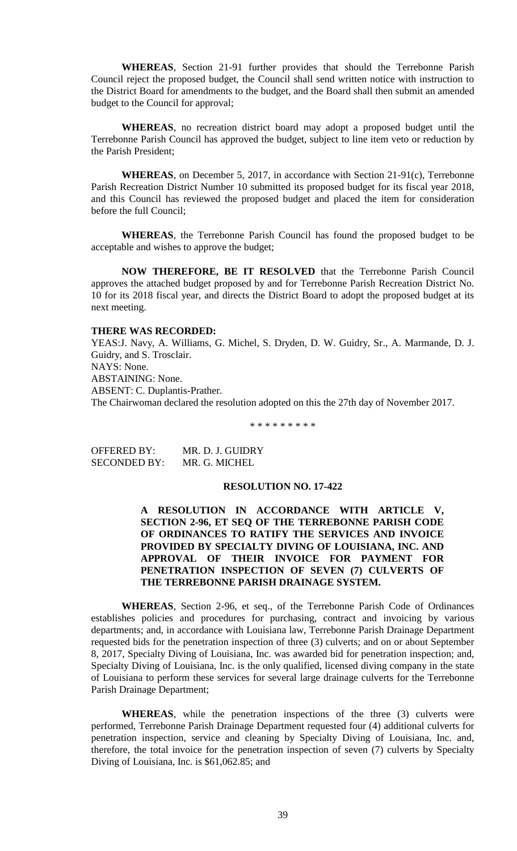**WHEREAS**, Section 21-91 further provides that should the Terrebonne Parish Council reject the proposed budget, the Council shall send written notice with instruction to the District Board for amendments to the budget, and the Board shall then submit an amended budget to the Council for approval;

**WHEREAS**, no recreation district board may adopt a proposed budget until the Terrebonne Parish Council has approved the budget, subject to line item veto or reduction by the Parish President;

**WHEREAS**, on December 5, 2017, in accordance with Section 21-91(c), Terrebonne Parish Recreation District Number 10 submitted its proposed budget for its fiscal year 2018, and this Council has reviewed the proposed budget and placed the item for consideration before the full Council;

**WHEREAS**, the Terrebonne Parish Council has found the proposed budget to be acceptable and wishes to approve the budget;

**NOW THEREFORE, BE IT RESOLVED** that the Terrebonne Parish Council approves the attached budget proposed by and for Terrebonne Parish Recreation District No. 10 for its 2018 fiscal year, and directs the District Board to adopt the proposed budget at its next meeting.

### **THERE WAS RECORDED:**

YEAS:J. Navy, A. Williams, G. Michel, S. Dryden, D. W. Guidry, Sr., A. Marmande, D. J. Guidry, and S. Trosclair. NAYS: None. ABSTAINING: None. ABSENT: C. Duplantis-Prather. The Chairwoman declared the resolution adopted on this the 27th day of November 2017.

\* \* \* \* \* \* \* \* \*

OFFERED BY: MR. D. J. GUIDRY SECONDED BY: MR. G. MICHEL

# **RESOLUTION NO. 17-422**

**A RESOLUTION IN ACCORDANCE WITH ARTICLE V, SECTION 2-96, ET SEQ OF THE TERREBONNE PARISH CODE OF ORDINANCES TO RATIFY THE SERVICES AND INVOICE PROVIDED BY SPECIALTY DIVING OF LOUISIANA, INC. AND APPROVAL OF THEIR INVOICE FOR PAYMENT FOR PENETRATION INSPECTION OF SEVEN (7) CULVERTS OF THE TERREBONNE PARISH DRAINAGE SYSTEM.**

**WHEREAS**, Section 2-96, et seq., of the Terrebonne Parish Code of Ordinances establishes policies and procedures for purchasing, contract and invoicing by various departments; and, in accordance with Louisiana law, Terrebonne Parish Drainage Department requested bids for the penetration inspection of three (3) culverts; and on or about September 8, 2017, Specialty Diving of Louisiana, Inc. was awarded bid for penetration inspection; and, Specialty Diving of Louisiana, Inc. is the only qualified, licensed diving company in the state of Louisiana to perform these services for several large drainage culverts for the Terrebonne Parish Drainage Department;

**WHEREAS**, while the penetration inspections of the three (3) culverts were performed, Terrebonne Parish Drainage Department requested four (4) additional culverts for penetration inspection, service and cleaning by Specialty Diving of Louisiana, Inc. and, therefore, the total invoice for the penetration inspection of seven (7) culverts by Specialty Diving of Louisiana, Inc. is \$61,062.85; and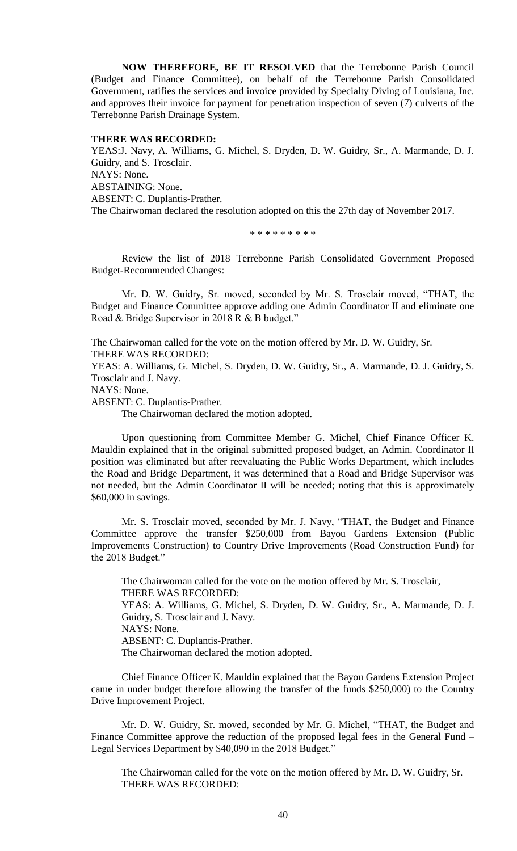**NOW THEREFORE, BE IT RESOLVED** that the Terrebonne Parish Council (Budget and Finance Committee), on behalf of the Terrebonne Parish Consolidated Government, ratifies the services and invoice provided by Specialty Diving of Louisiana, Inc. and approves their invoice for payment for penetration inspection of seven (7) culverts of the Terrebonne Parish Drainage System.

#### **THERE WAS RECORDED:**

YEAS:J. Navy, A. Williams, G. Michel, S. Dryden, D. W. Guidry, Sr., A. Marmande, D. J. Guidry, and S. Trosclair. NAYS: None. ABSTAINING: None. ABSENT: C. Duplantis-Prather. The Chairwoman declared the resolution adopted on this the 27th day of November 2017.

\* \* \* \* \* \* \* \* \*

Review the list of 2018 Terrebonne Parish Consolidated Government Proposed Budget-Recommended Changes:

Mr. D. W. Guidry, Sr. moved, seconded by Mr. S. Trosclair moved, "THAT, the Budget and Finance Committee approve adding one Admin Coordinator II and eliminate one Road & Bridge Supervisor in 2018 R & B budget."

The Chairwoman called for the vote on the motion offered by Mr. D. W. Guidry, Sr. THERE WAS RECORDED:

YEAS: A. Williams, G. Michel, S. Dryden, D. W. Guidry, Sr., A. Marmande, D. J. Guidry, S. Trosclair and J. Navy.

NAYS: None.

ABSENT: C. Duplantis-Prather.

The Chairwoman declared the motion adopted.

Upon questioning from Committee Member G. Michel, Chief Finance Officer K. Mauldin explained that in the original submitted proposed budget, an Admin. Coordinator II position was eliminated but after reevaluating the Public Works Department, which includes the Road and Bridge Department, it was determined that a Road and Bridge Supervisor was not needed, but the Admin Coordinator II will be needed; noting that this is approximately \$60,000 in savings.

Mr. S. Trosclair moved, seconded by Mr. J. Navy, "THAT, the Budget and Finance Committee approve the transfer \$250,000 from Bayou Gardens Extension (Public Improvements Construction) to Country Drive Improvements (Road Construction Fund) for the 2018 Budget."

The Chairwoman called for the vote on the motion offered by Mr. S. Trosclair, THERE WAS RECORDED: YEAS: A. Williams, G. Michel, S. Dryden, D. W. Guidry, Sr., A. Marmande, D. J. Guidry, S. Trosclair and J. Navy. NAYS: None. ABSENT: C. Duplantis-Prather. The Chairwoman declared the motion adopted.

Chief Finance Officer K. Mauldin explained that the Bayou Gardens Extension Project came in under budget therefore allowing the transfer of the funds \$250,000) to the Country Drive Improvement Project.

Mr. D. W. Guidry, Sr. moved, seconded by Mr. G. Michel, "THAT, the Budget and Finance Committee approve the reduction of the proposed legal fees in the General Fund – Legal Services Department by \$40,090 in the 2018 Budget."

The Chairwoman called for the vote on the motion offered by Mr. D. W. Guidry, Sr. THERE WAS RECORDED: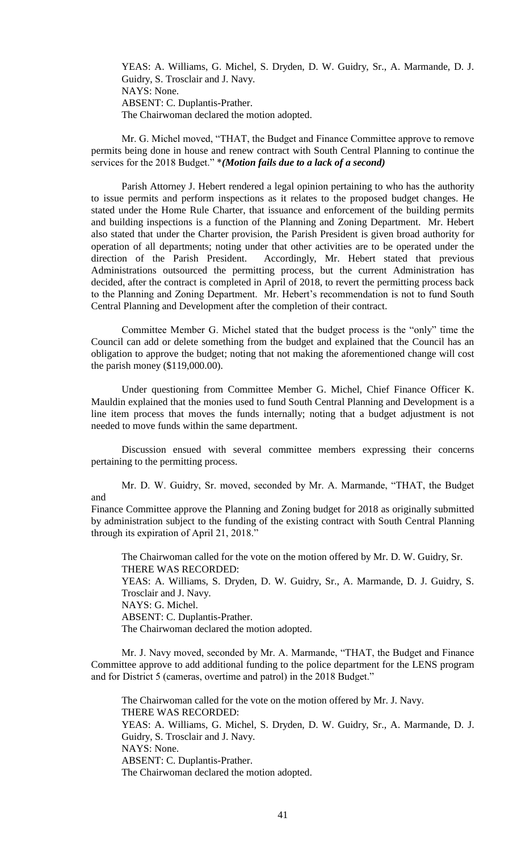YEAS: A. Williams, G. Michel, S. Dryden, D. W. Guidry, Sr., A. Marmande, D. J. Guidry, S. Trosclair and J. Navy. NAYS: None. ABSENT: C. Duplantis-Prather. The Chairwoman declared the motion adopted.

Mr. G. Michel moved, "THAT, the Budget and Finance Committee approve to remove permits being done in house and renew contract with South Central Planning to continue the services for the 2018 Budget." \**(Motion fails due to a lack of a second)*

Parish Attorney J. Hebert rendered a legal opinion pertaining to who has the authority to issue permits and perform inspections as it relates to the proposed budget changes. He stated under the Home Rule Charter, that issuance and enforcement of the building permits and building inspections is a function of the Planning and Zoning Department. Mr. Hebert also stated that under the Charter provision, the Parish President is given broad authority for operation of all departments; noting under that other activities are to be operated under the direction of the Parish President. Accordingly, Mr. Hebert stated that previous Administrations outsourced the permitting process, but the current Administration has decided, after the contract is completed in April of 2018, to revert the permitting process back to the Planning and Zoning Department. Mr. Hebert's recommendation is not to fund South Central Planning and Development after the completion of their contract.

Committee Member G. Michel stated that the budget process is the "only" time the Council can add or delete something from the budget and explained that the Council has an obligation to approve the budget; noting that not making the aforementioned change will cost the parish money (\$119,000.00).

Under questioning from Committee Member G. Michel, Chief Finance Officer K. Mauldin explained that the monies used to fund South Central Planning and Development is a line item process that moves the funds internally; noting that a budget adjustment is not needed to move funds within the same department.

Discussion ensued with several committee members expressing their concerns pertaining to the permitting process.

Mr. D. W. Guidry, Sr. moved, seconded by Mr. A. Marmande, "THAT, the Budget and

Finance Committee approve the Planning and Zoning budget for 2018 as originally submitted by administration subject to the funding of the existing contract with South Central Planning through its expiration of April 21, 2018."

The Chairwoman called for the vote on the motion offered by Mr. D. W. Guidry, Sr. THERE WAS RECORDED: YEAS: A. Williams, S. Dryden, D. W. Guidry, Sr., A. Marmande, D. J. Guidry, S. Trosclair and J. Navy. NAYS: G. Michel. ABSENT: C. Duplantis-Prather. The Chairwoman declared the motion adopted.

Mr. J. Navy moved, seconded by Mr. A. Marmande, "THAT, the Budget and Finance Committee approve to add additional funding to the police department for the LENS program and for District 5 (cameras, overtime and patrol) in the 2018 Budget."

The Chairwoman called for the vote on the motion offered by Mr. J. Navy. THERE WAS RECORDED: YEAS: A. Williams, G. Michel, S. Dryden, D. W. Guidry, Sr., A. Marmande, D. J. Guidry, S. Trosclair and J. Navy. NAYS: None. ABSENT: C. Duplantis-Prather. The Chairwoman declared the motion adopted.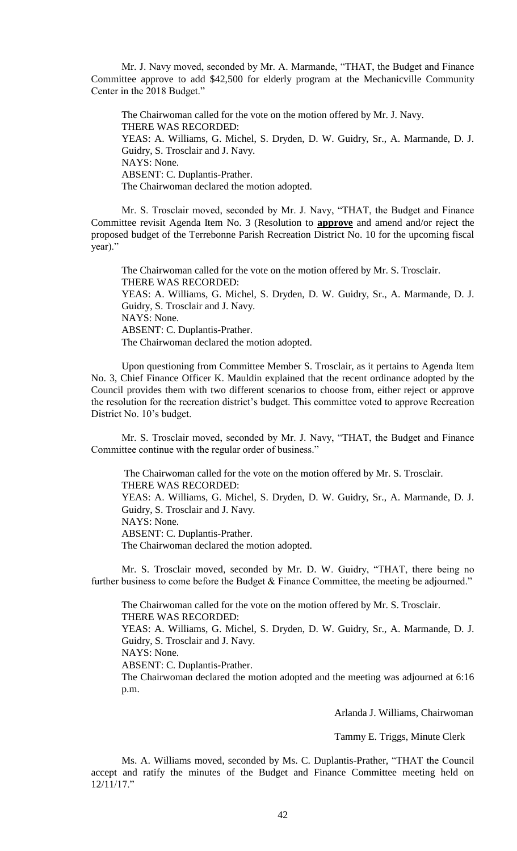Mr. J. Navy moved, seconded by Mr. A. Marmande, "THAT, the Budget and Finance Committee approve to add \$42,500 for elderly program at the Mechanicville Community Center in the 2018 Budget."

The Chairwoman called for the vote on the motion offered by Mr. J. Navy. THERE WAS RECORDED: YEAS: A. Williams, G. Michel, S. Dryden, D. W. Guidry, Sr., A. Marmande, D. J. Guidry, S. Trosclair and J. Navy. NAYS: None. ABSENT: C. Duplantis-Prather. The Chairwoman declared the motion adopted.

Mr. S. Trosclair moved, seconded by Mr. J. Navy, "THAT, the Budget and Finance Committee revisit Agenda Item No. 3 (Resolution to **approve** and amend and/or reject the proposed budget of the Terrebonne Parish Recreation District No. 10 for the upcoming fiscal year)."

The Chairwoman called for the vote on the motion offered by Mr. S. Trosclair. THERE WAS RECORDED: YEAS: A. Williams, G. Michel, S. Dryden, D. W. Guidry, Sr., A. Marmande, D. J. Guidry, S. Trosclair and J. Navy. NAYS: None. ABSENT: C. Duplantis-Prather. The Chairwoman declared the motion adopted.

Upon questioning from Committee Member S. Trosclair, as it pertains to Agenda Item No. 3, Chief Finance Officer K. Mauldin explained that the recent ordinance adopted by the Council provides them with two different scenarios to choose from, either reject or approve the resolution for the recreation district's budget. This committee voted to approve Recreation District No. 10's budget.

Mr. S. Trosclair moved, seconded by Mr. J. Navy, "THAT, the Budget and Finance Committee continue with the regular order of business."

The Chairwoman called for the vote on the motion offered by Mr. S. Trosclair. THERE WAS RECORDED: YEAS: A. Williams, G. Michel, S. Dryden, D. W. Guidry, Sr., A. Marmande, D. J. Guidry, S. Trosclair and J. Navy. NAYS: None. ABSENT: C. Duplantis-Prather. The Chairwoman declared the motion adopted.

Mr. S. Trosclair moved, seconded by Mr. D. W. Guidry, "THAT, there being no further business to come before the Budget & Finance Committee, the meeting be adjourned."

The Chairwoman called for the vote on the motion offered by Mr. S. Trosclair. THERE WAS RECORDED: YEAS: A. Williams, G. Michel, S. Dryden, D. W. Guidry, Sr., A. Marmande, D. J. Guidry, S. Trosclair and J. Navy. NAYS: None.

ABSENT: C. Duplantis-Prather.

The Chairwoman declared the motion adopted and the meeting was adjourned at 6:16 p.m.

Arlanda J. Williams, Chairwoman

Tammy E. Triggs, Minute Clerk

Ms. A. Williams moved, seconded by Ms. C. Duplantis-Prather, "THAT the Council accept and ratify the minutes of the Budget and Finance Committee meeting held on 12/11/17."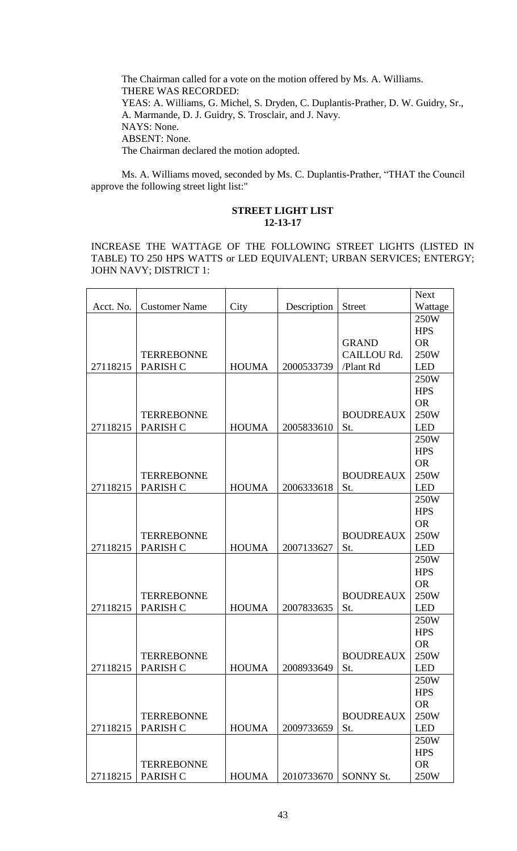The Chairman called for a vote on the motion offered by Ms. A. Williams. THERE WAS RECORDED: YEAS: A. Williams, G. Michel, S. Dryden, C. Duplantis-Prather, D. W. Guidry, Sr., A. Marmande, D. J. Guidry, S. Trosclair, and J. Navy. NAYS: None. ABSENT: None. The Chairman declared the motion adopted.

Ms. A. Williams moved, seconded by Ms. C. Duplantis-Prather, "THAT the Council approve the following street light list:"

# **STREET LIGHT LIST 12-13-17**

INCREASE THE WATTAGE OF THE FOLLOWING STREET LIGHTS (LISTED IN TABLE) TO 250 HPS WATTS or LED EQUIVALENT; URBAN SERVICES; ENTERGY; JOHN NAVY; DISTRICT 1:

|           |                      |              |             |                  | <b>Next</b> |
|-----------|----------------------|--------------|-------------|------------------|-------------|
| Acct. No. | <b>Customer Name</b> | City         | Description | <b>Street</b>    | Wattage     |
|           |                      |              |             |                  | 250W        |
|           |                      |              |             |                  | <b>HPS</b>  |
|           |                      |              |             | <b>GRAND</b>     | <b>OR</b>   |
|           | <b>TERREBONNE</b>    |              |             | CAILLOU Rd.      | 250W        |
| 27118215  | PARISH C             | <b>HOUMA</b> | 2000533739  | /Plant Rd        | <b>LED</b>  |
|           |                      |              |             |                  | 250W        |
|           |                      |              |             |                  | <b>HPS</b>  |
|           |                      |              |             |                  | <b>OR</b>   |
|           | <b>TERREBONNE</b>    |              |             | <b>BOUDREAUX</b> | 250W        |
| 27118215  | PARISH C             | <b>HOUMA</b> | 2005833610  | St.              | <b>LED</b>  |
|           |                      |              |             |                  | 250W        |
|           |                      |              |             |                  | <b>HPS</b>  |
|           |                      |              |             |                  | <b>OR</b>   |
|           | <b>TERREBONNE</b>    |              |             | <b>BOUDREAUX</b> | 250W        |
| 27118215  | PARISH C             | <b>HOUMA</b> | 2006333618  | St.              | <b>LED</b>  |
|           |                      |              |             |                  | 250W        |
|           |                      |              |             |                  | <b>HPS</b>  |
|           |                      |              |             |                  | <b>OR</b>   |
|           | <b>TERREBONNE</b>    |              |             | <b>BOUDREAUX</b> | 250W        |
| 27118215  | PARISH C             | <b>HOUMA</b> | 2007133627  | St.              | <b>LED</b>  |
|           |                      |              |             |                  | 250W        |
|           |                      |              |             |                  | <b>HPS</b>  |
|           |                      |              |             |                  | <b>OR</b>   |
|           | <b>TERREBONNE</b>    |              |             | <b>BOUDREAUX</b> | 250W        |
| 27118215  | PARISH C             | <b>HOUMA</b> | 2007833635  | St.              | <b>LED</b>  |
|           |                      |              |             |                  | 250W        |
|           |                      |              |             |                  | <b>HPS</b>  |
|           |                      |              |             |                  | <b>OR</b>   |
|           | <b>TERREBONNE</b>    |              |             | <b>BOUDREAUX</b> | 250W        |
|           | 27118215   PARISH C  | <b>HOUMA</b> | 2008933649  | St.              | <b>LED</b>  |
|           |                      |              |             |                  | 250W        |
|           |                      |              |             |                  | <b>HPS</b>  |
|           |                      |              |             |                  | <b>OR</b>   |
|           | <b>TERREBONNE</b>    |              |             | <b>BOUDREAUX</b> | 250W        |
| 27118215  | PARISH C             | <b>HOUMA</b> | 2009733659  | St.              | <b>LED</b>  |
|           |                      |              |             |                  | 250W        |
|           |                      |              |             |                  | <b>HPS</b>  |
|           | <b>TERREBONNE</b>    |              |             |                  | <b>OR</b>   |
| 27118215  | PARISH C             | <b>HOUMA</b> | 2010733670  | SONNY St.        | 250W        |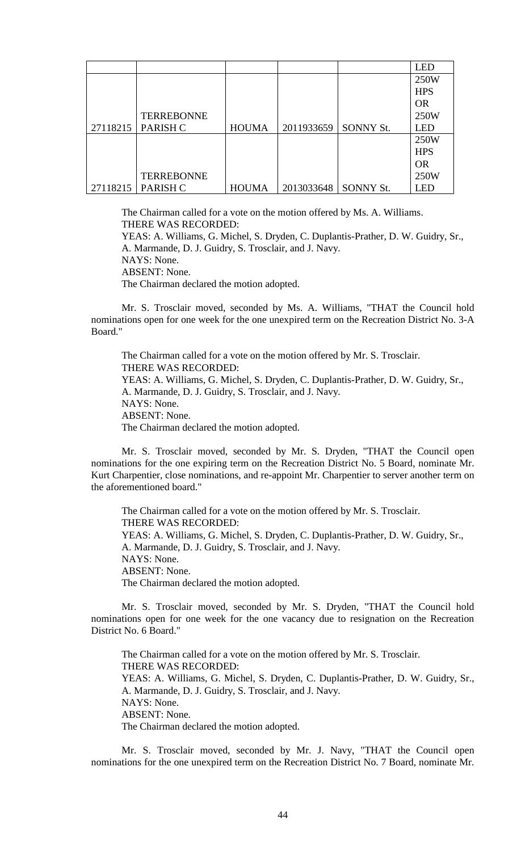|          |                   |              |            |                  | LED        |
|----------|-------------------|--------------|------------|------------------|------------|
|          |                   |              |            |                  | 250W       |
|          |                   |              |            |                  | <b>HPS</b> |
|          |                   |              |            |                  | <b>OR</b>  |
|          | <b>TERREBONNE</b> |              |            |                  | 250W       |
| 27118215 | PARISH C          | <b>HOUMA</b> | 2011933659 | <b>SONNY St.</b> | <b>LED</b> |
|          |                   |              |            |                  | 250W       |
|          |                   |              |            |                  | <b>HPS</b> |
|          |                   |              |            |                  | <b>OR</b>  |
|          | <b>TERREBONNE</b> |              |            |                  | 250W       |
| 27118215 | PARISH C          | <b>HOUMA</b> | 2013033648 | <b>SONNY St.</b> | <b>LED</b> |

The Chairman called for a vote on the motion offered by Ms. A. Williams. THERE WAS RECORDED:

YEAS: A. Williams, G. Michel, S. Dryden, C. Duplantis-Prather, D. W. Guidry, Sr., A. Marmande, D. J. Guidry, S. Trosclair, and J. Navy. NAYS: None.

ABSENT: None.

The Chairman declared the motion adopted.

Mr. S. Trosclair moved, seconded by Ms. A. Williams, "THAT the Council hold nominations open for one week for the one unexpired term on the Recreation District No. 3-A Board."

The Chairman called for a vote on the motion offered by Mr. S. Trosclair. THERE WAS RECORDED: YEAS: A. Williams, G. Michel, S. Dryden, C. Duplantis-Prather, D. W. Guidry, Sr., A. Marmande, D. J. Guidry, S. Trosclair, and J. Navy. NAYS: None. ABSENT: None. The Chairman declared the motion adopted.

Mr. S. Trosclair moved, seconded by Mr. S. Dryden, "THAT the Council open nominations for the one expiring term on the Recreation District No. 5 Board, nominate Mr. Kurt Charpentier, close nominations, and re-appoint Mr. Charpentier to server another term on the aforementioned board."

The Chairman called for a vote on the motion offered by Mr. S. Trosclair. THERE WAS RECORDED: YEAS: A. Williams, G. Michel, S. Dryden, C. Duplantis-Prather, D. W. Guidry, Sr., A. Marmande, D. J. Guidry, S. Trosclair, and J. Navy. NAYS: None. ABSENT: None. The Chairman declared the motion adopted.

Mr. S. Trosclair moved, seconded by Mr. S. Dryden, "THAT the Council hold nominations open for one week for the one vacancy due to resignation on the Recreation District No. 6 Board."

The Chairman called for a vote on the motion offered by Mr. S. Trosclair. THERE WAS RECORDED: YEAS: A. Williams, G. Michel, S. Dryden, C. Duplantis-Prather, D. W. Guidry, Sr., A. Marmande, D. J. Guidry, S. Trosclair, and J. Navy. NAYS: None. ABSENT: None. The Chairman declared the motion adopted.

Mr. S. Trosclair moved, seconded by Mr. J. Navy, "THAT the Council open nominations for the one unexpired term on the Recreation District No. 7 Board, nominate Mr.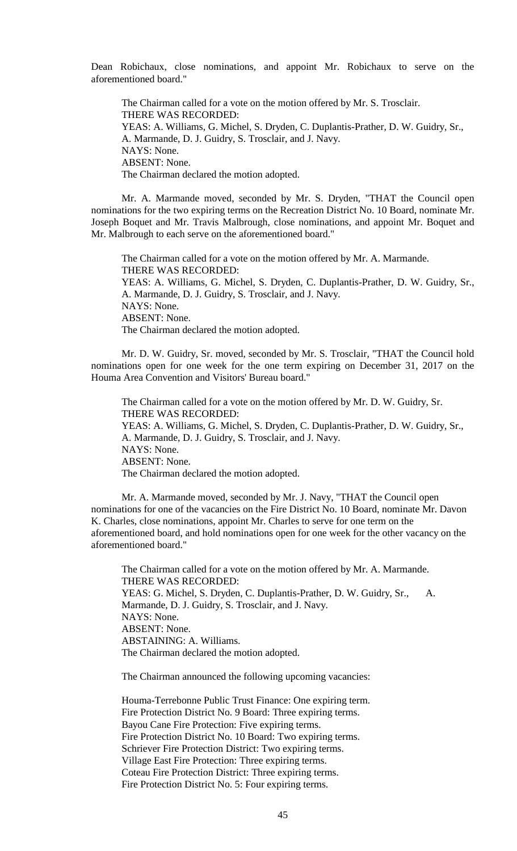Dean Robichaux, close nominations, and appoint Mr. Robichaux to serve on the aforementioned board."

The Chairman called for a vote on the motion offered by Mr. S. Trosclair. THERE WAS RECORDED: YEAS: A. Williams, G. Michel, S. Dryden, C. Duplantis-Prather, D. W. Guidry, Sr., A. Marmande, D. J. Guidry, S. Trosclair, and J. Navy. NAYS: None. ABSENT: None. The Chairman declared the motion adopted.

Mr. A. Marmande moved, seconded by Mr. S. Dryden, "THAT the Council open nominations for the two expiring terms on the Recreation District No. 10 Board, nominate Mr. Joseph Boquet and Mr. Travis Malbrough, close nominations, and appoint Mr. Boquet and Mr. Malbrough to each serve on the aforementioned board."

The Chairman called for a vote on the motion offered by Mr. A. Marmande. THERE WAS RECORDED: YEAS: A. Williams, G. Michel, S. Dryden, C. Duplantis-Prather, D. W. Guidry, Sr., A. Marmande, D. J. Guidry, S. Trosclair, and J. Navy. NAYS: None. ABSENT: None. The Chairman declared the motion adopted.

Mr. D. W. Guidry, Sr. moved, seconded by Mr. S. Trosclair, "THAT the Council hold nominations open for one week for the one term expiring on December 31, 2017 on the Houma Area Convention and Visitors' Bureau board."

The Chairman called for a vote on the motion offered by Mr. D. W. Guidry, Sr. THERE WAS RECORDED: YEAS: A. Williams, G. Michel, S. Dryden, C. Duplantis-Prather, D. W. Guidry, Sr., A. Marmande, D. J. Guidry, S. Trosclair, and J. Navy. NAYS: None. ABSENT: None. The Chairman declared the motion adopted.

Mr. A. Marmande moved, seconded by Mr. J. Navy, "THAT the Council open nominations for one of the vacancies on the Fire District No. 10 Board, nominate Mr. Davon K. Charles, close nominations, appoint Mr. Charles to serve for one term on the aforementioned board, and hold nominations open for one week for the other vacancy on the aforementioned board."

The Chairman called for a vote on the motion offered by Mr. A. Marmande. THERE WAS RECORDED: YEAS: G. Michel, S. Dryden, C. Duplantis-Prather, D. W. Guidry, Sr., A. Marmande, D. J. Guidry, S. Trosclair, and J. Navy. NAYS: None. ABSENT: None. ABSTAINING: A. Williams. The Chairman declared the motion adopted.

The Chairman announced the following upcoming vacancies:

Houma-Terrebonne Public Trust Finance: One expiring term. Fire Protection District No. 9 Board: Three expiring terms. Bayou Cane Fire Protection: Five expiring terms. Fire Protection District No. 10 Board: Two expiring terms. Schriever Fire Protection District: Two expiring terms. Village East Fire Protection: Three expiring terms. Coteau Fire Protection District: Three expiring terms. Fire Protection District No. 5: Four expiring terms.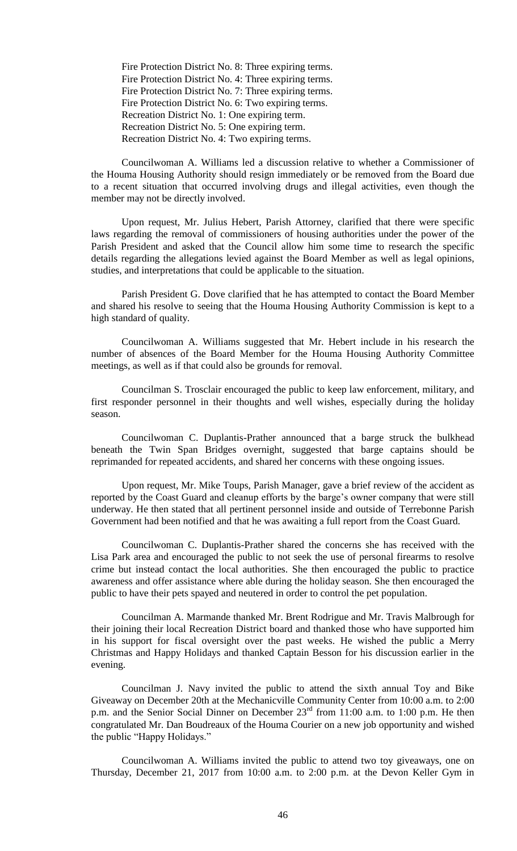Fire Protection District No. 8: Three expiring terms. Fire Protection District No. 4: Three expiring terms. Fire Protection District No. 7: Three expiring terms. Fire Protection District No. 6: Two expiring terms. Recreation District No. 1: One expiring term. Recreation District No. 5: One expiring term. Recreation District No. 4: Two expiring terms.

Councilwoman A. Williams led a discussion relative to whether a Commissioner of the Houma Housing Authority should resign immediately or be removed from the Board due to a recent situation that occurred involving drugs and illegal activities, even though the member may not be directly involved.

Upon request, Mr. Julius Hebert, Parish Attorney, clarified that there were specific laws regarding the removal of commissioners of housing authorities under the power of the Parish President and asked that the Council allow him some time to research the specific details regarding the allegations levied against the Board Member as well as legal opinions, studies, and interpretations that could be applicable to the situation.

Parish President G. Dove clarified that he has attempted to contact the Board Member and shared his resolve to seeing that the Houma Housing Authority Commission is kept to a high standard of quality.

Councilwoman A. Williams suggested that Mr. Hebert include in his research the number of absences of the Board Member for the Houma Housing Authority Committee meetings, as well as if that could also be grounds for removal.

Councilman S. Trosclair encouraged the public to keep law enforcement, military, and first responder personnel in their thoughts and well wishes, especially during the holiday season.

Councilwoman C. Duplantis-Prather announced that a barge struck the bulkhead beneath the Twin Span Bridges overnight, suggested that barge captains should be reprimanded for repeated accidents, and shared her concerns with these ongoing issues.

Upon request, Mr. Mike Toups, Parish Manager, gave a brief review of the accident as reported by the Coast Guard and cleanup efforts by the barge's owner company that were still underway. He then stated that all pertinent personnel inside and outside of Terrebonne Parish Government had been notified and that he was awaiting a full report from the Coast Guard.

Councilwoman C. Duplantis-Prather shared the concerns she has received with the Lisa Park area and encouraged the public to not seek the use of personal firearms to resolve crime but instead contact the local authorities. She then encouraged the public to practice awareness and offer assistance where able during the holiday season. She then encouraged the public to have their pets spayed and neutered in order to control the pet population.

Councilman A. Marmande thanked Mr. Brent Rodrigue and Mr. Travis Malbrough for their joining their local Recreation District board and thanked those who have supported him in his support for fiscal oversight over the past weeks. He wished the public a Merry Christmas and Happy Holidays and thanked Captain Besson for his discussion earlier in the evening.

Councilman J. Navy invited the public to attend the sixth annual Toy and Bike Giveaway on December 20th at the Mechanicville Community Center from 10:00 a.m. to 2:00 p.m. and the Senior Social Dinner on December  $23<sup>rd</sup>$  from 11:00 a.m. to 1:00 p.m. He then congratulated Mr. Dan Boudreaux of the Houma Courier on a new job opportunity and wished the public "Happy Holidays."

Councilwoman A. Williams invited the public to attend two toy giveaways, one on Thursday, December 21, 2017 from 10:00 a.m. to 2:00 p.m. at the Devon Keller Gym in